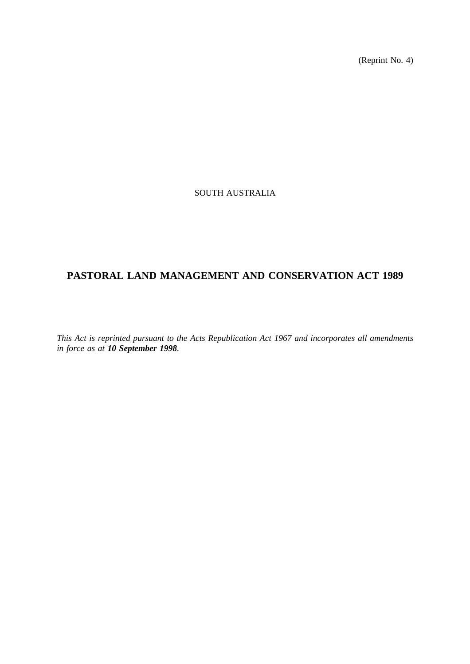(Reprint No. 4)

# SOUTH AUSTRALIA

# **PASTORAL LAND MANAGEMENT AND CONSERVATION ACT 1989**

*This Act is reprinted pursuant to the Acts Republication Act 1967 and incorporates all amendments in force as at 10 September 1998.*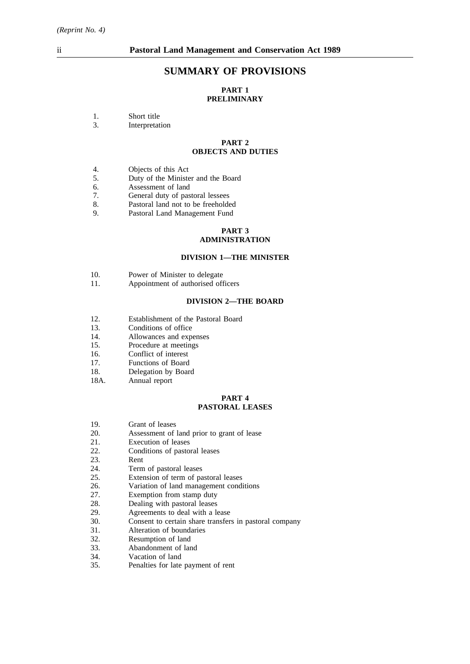## **SUMMARY OF PROVISIONS**

## **PART 1 PRELIMINARY**

3. Interpretation

#### **PART 2 OBJECTS AND DUTIES**

- 4. Objects of this Act
- 5. Duty of the Minister and the Board
- 6. Assessment of land<br>7. General duty of pas
- 7. General duty of pastoral lessees<br>8. Pastoral land not to be freeholde
- 8. Pastoral land not to be freeholded<br>9. Pastoral Land Management Fund
- Pastoral Land Management Fund

### **PART 3**

## **ADMINISTRATION**

### **DIVISION 1—THE MINISTER**

- 10. Power of Minister to delegate<br>11. Appointment of authorised off
- Appointment of authorised officers

#### **DIVISION 2—THE BOARD**

- 12. Establishment of the Pastoral Board
- 13. Conditions of office
- 14. Allowances and expenses
- 15. Procedure at meetings
- 16. Conflict of interest
- 17. Functions of Board
- 18. Delegation by Board
- 18A. Annual report

#### **PART 4 PASTORAL LEASES**

- 19. Grant of leases
- 20. Assessment of land prior to grant of lease<br>21. Execution of leases
- Execution of leases
- 22. Conditions of pastoral leases<br>23. Rent
- Rent
- 
- 24. Term of pastoral leases<br>25. Extension of term of pa Extension of term of pastoral leases
- 26. Variation of land management conditions
- 
- 27. Exemption from stamp duty<br>28. Dealing with pastoral leases 28. Dealing with pastoral leases<br>29. Agreements to deal with a le
- 29. Agreements to deal with a lease<br>30. Consent to certain share transfer.
- Consent to certain share transfers in pastoral company
- 31. Alteration of boundaries
- 32. Resumption of land
- 33. Abandonment of land
- 34. Vacation of land<br>35. Penalties for late
- 35. Penalties for late payment of rent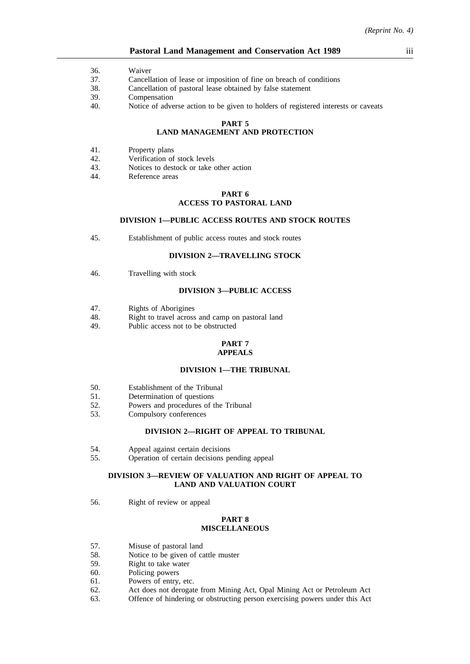#### **Pastoral Land Management and Conservation Act 1989** iii

- 36. Waiver
- 37. Cancellation of lease or imposition of fine on breach of conditions
- 38. Cancellation of pastoral lease obtained by false statement
- 39. Compensation
- 40. Notice of adverse action to be given to holders of registered interests or caveats

#### **PART 5**

# **LAND MANAGEMENT AND PROTECTION**

- 41. Property plans
- 42. Verification of stock levels
- 43. Notices to destock or take other action
- 44. Reference areas

#### **PART 6 ACCESS TO PASTORAL LAND**

### **DIVISION 1—PUBLIC ACCESS ROUTES AND STOCK ROUTES**

45. Establishment of public access routes and stock routes

### **DIVISION 2—TRAVELLING STOCK**

46. Travelling with stock

#### **DIVISION 3—PUBLIC ACCESS**

- 47. Rights of Aborigines
- 48. Right to travel across and camp on pastoral land
- 49. Public access not to be obstructed

#### **PART 7 APPEALS**

#### **DIVISION 1—THE TRIBUNAL**

- 50. Establishment of the Tribunal
- 51. Determination of questions
- 52. Powers and procedures of the Tribunal
- 53. Compulsory conferences

#### **DIVISION 2—RIGHT OF APPEAL TO TRIBUNAL**

- 54. Appeal against certain decisions
- 55. Operation of certain decisions pending appeal

#### **DIVISION 3—REVIEW OF VALUATION AND RIGHT OF APPEAL TO LAND AND VALUATION COURT**

56. Right of review or appeal

#### **PART 8 MISCELLANEOUS**

- 57. Misuse of pastoral land
- 58. Notice to be given of cattle muster
- 59. Right to take water
- 60. Policing powers
- 61. Powers of entry, etc.
- 62. Act does not derogate from Mining Act, Opal Mining Act or Petroleum Act
- 63. Offence of hindering or obstructing person exercising powers under this Act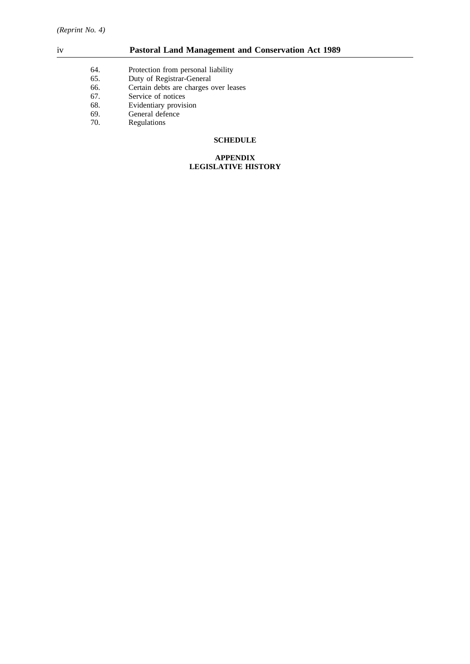# iv **Pastoral Land Management and Conservation Act 1989**

- 64. Protection from personal liability<br>65. Duty of Registrar-General
- 65. Duty of Registrar-General<br>66. Certain debts are charges of 66. Certain debts are charges over leases 67.
- 
- 67. Service of notices<br>68. Evidentiary provisi Evidentiary provision
- 69. General defence<br>70. Regulations
- **Regulations**

## **SCHEDULE**

#### **APPENDIX LEGISLATIVE HISTORY**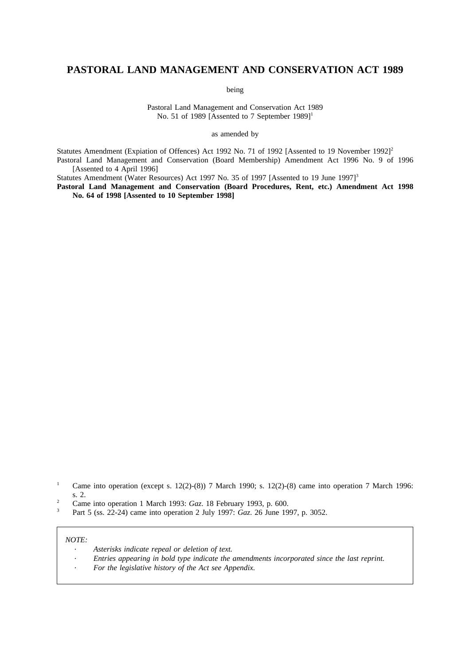# **PASTORAL LAND MANAGEMENT AND CONSERVATION ACT 1989**

being

Pastoral Land Management and Conservation Act 1989 No. 51 of 1989 [Assented to 7 September  $1989$ ]<sup>1</sup>

as amended by

Statutes Amendment (Expiation of Offences) Act 1992 No. 71 of 1992 [Assented to 19 November 1992]<sup>2</sup> Pastoral Land Management and Conservation (Board Membership) Amendment Act 1996 No. 9 of 1996 [Assented to 4 April 1996]

Statutes Amendment (Water Resources) Act 1997 No. 35 of 1997 [Assented to 19 June 1997]<sup>3</sup>

**Pastoral Land Management and Conservation (Board Procedures, Rent, etc.) Amendment Act 1998 No. 64 of 1998 [Assented to 10 September 1998]**

<sup>3</sup> Part 5 (ss. 22-24) came into operation 2 July 1997: *Gaz*. 26 June 1997, p. 3052.

### *NOTE:*

- *Asterisks indicate repeal or deletion of text.*
- *Entries appearing in bold type indicate the amendments incorporated since the last reprint.*
- *For the legislative history of the Act see Appendix.*

<sup>&</sup>lt;sup>1</sup> Came into operation (except s. 12(2)-(8)) 7 March 1990; s. 12(2)-(8) came into operation 7 March 1996: s. 2.

<sup>&</sup>lt;sup>2</sup> Came into operation 1 March 1993: *Gaz*. 18 February 1993, p. 600.<br><sup>3</sup> Part 5 (es. 22.24) some into operation 2 July 1993: *Ggz*. 26 June 19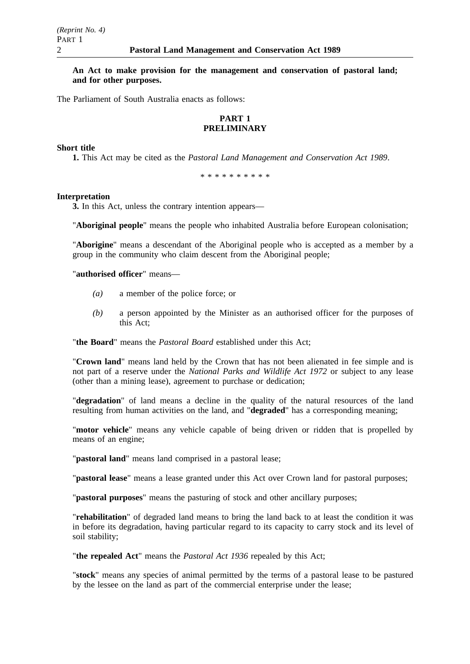### **An Act to make provision for the management and conservation of pastoral land; and for other purposes.**

The Parliament of South Australia enacts as follows:

## **PART 1 PRELIMINARY**

#### **Short title**

**1.** This Act may be cited as the *Pastoral Land Management and Conservation Act 1989*.

\*\*\*\*\*\*\*\*\*\*

#### **Interpretation**

**3.** In this Act, unless the contrary intention appears—

"**Aboriginal people**" means the people who inhabited Australia before European colonisation;

"**Aborigine**" means a descendant of the Aboriginal people who is accepted as a member by a group in the community who claim descent from the Aboriginal people;

### "**authorised officer**" means—

- *(a)* a member of the police force; or
- *(b)* a person appointed by the Minister as an authorised officer for the purposes of this Act;

## "**the Board**" means the *Pastoral Board* established under this Act;

"**Crown land**" means land held by the Crown that has not been alienated in fee simple and is not part of a reserve under the *National Parks and Wildlife Act 1972* or subject to any lease (other than a mining lease), agreement to purchase or dedication;

"**degradation**" of land means a decline in the quality of the natural resources of the land resulting from human activities on the land, and "**degraded**" has a corresponding meaning;

"**motor vehicle**" means any vehicle capable of being driven or ridden that is propelled by means of an engine;

"**pastoral land**" means land comprised in a pastoral lease;

"**pastoral lease**" means a lease granted under this Act over Crown land for pastoral purposes;

"**pastoral purposes**" means the pasturing of stock and other ancillary purposes;

"**rehabilitation**" of degraded land means to bring the land back to at least the condition it was in before its degradation, having particular regard to its capacity to carry stock and its level of soil stability;

"**the repealed Act**" means the *Pastoral Act 1936* repealed by this Act;

"**stock**" means any species of animal permitted by the terms of a pastoral lease to be pastured by the lessee on the land as part of the commercial enterprise under the lease;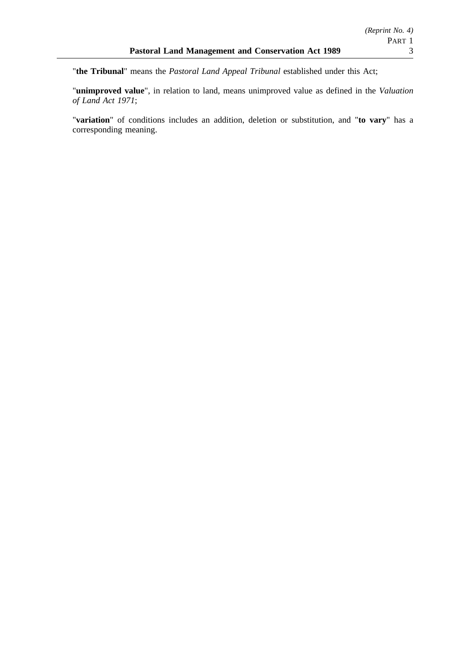"**unimproved value**", in relation to land, means unimproved value as defined in the *Valuation of Land Act 1971*;

"**variation**" of conditions includes an addition, deletion or substitution, and "**to vary**" has a corresponding meaning.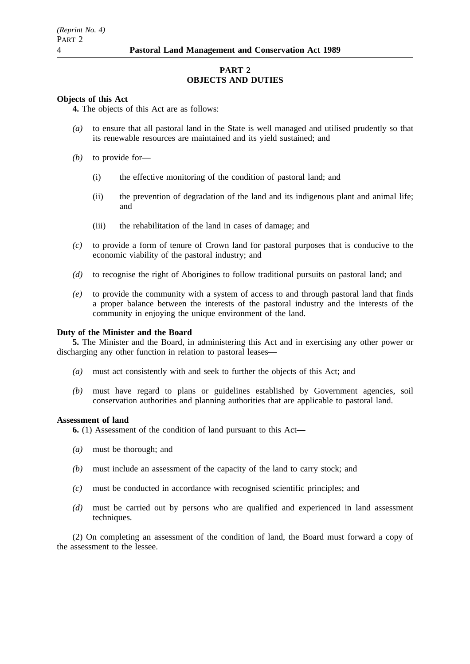## **PART 2 OBJECTS AND DUTIES**

## **Objects of this Act**

**4.** The objects of this Act are as follows:

- *(a)* to ensure that all pastoral land in the State is well managed and utilised prudently so that its renewable resources are maintained and its yield sustained; and
- *(b)* to provide for—
	- (i) the effective monitoring of the condition of pastoral land; and
	- (ii) the prevention of degradation of the land and its indigenous plant and animal life; and
	- (iii) the rehabilitation of the land in cases of damage; and
- *(c)* to provide a form of tenure of Crown land for pastoral purposes that is conducive to the economic viability of the pastoral industry; and
- *(d)* to recognise the right of Aborigines to follow traditional pursuits on pastoral land; and
- *(e)* to provide the community with a system of access to and through pastoral land that finds a proper balance between the interests of the pastoral industry and the interests of the community in enjoying the unique environment of the land.

## **Duty of the Minister and the Board**

**5.** The Minister and the Board, in administering this Act and in exercising any other power or discharging any other function in relation to pastoral leases—

- *(a)* must act consistently with and seek to further the objects of this Act; and
- *(b)* must have regard to plans or guidelines established by Government agencies, soil conservation authorities and planning authorities that are applicable to pastoral land.

#### **Assessment of land**

**6.** (1) Assessment of the condition of land pursuant to this Act—

- *(a)* must be thorough; and
- *(b)* must include an assessment of the capacity of the land to carry stock; and
- *(c)* must be conducted in accordance with recognised scientific principles; and
- *(d)* must be carried out by persons who are qualified and experienced in land assessment techniques.

(2) On completing an assessment of the condition of land, the Board must forward a copy of the assessment to the lessee.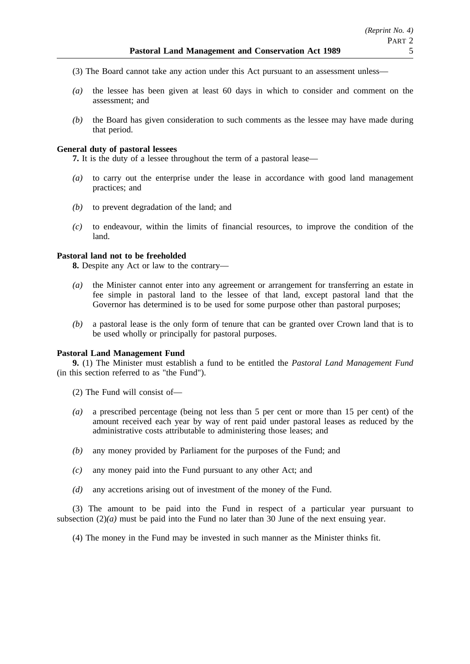- (3) The Board cannot take any action under this Act pursuant to an assessment unless—
- *(a)* the lessee has been given at least 60 days in which to consider and comment on the assessment; and
- *(b)* the Board has given consideration to such comments as the lessee may have made during that period.

### **General duty of pastoral lessees**

**7.** It is the duty of a lessee throughout the term of a pastoral lease—

- *(a)* to carry out the enterprise under the lease in accordance with good land management practices; and
- *(b)* to prevent degradation of the land; and
- *(c)* to endeavour, within the limits of financial resources, to improve the condition of the land.

## **Pastoral land not to be freeholded**

**8.** Despite any Act or law to the contrary—

- *(a)* the Minister cannot enter into any agreement or arrangement for transferring an estate in fee simple in pastoral land to the lessee of that land, except pastoral land that the Governor has determined is to be used for some purpose other than pastoral purposes;
- *(b)* a pastoral lease is the only form of tenure that can be granted over Crown land that is to be used wholly or principally for pastoral purposes.

#### **Pastoral Land Management Fund**

**9.** (1) The Minister must establish a fund to be entitled the *Pastoral Land Management Fund* (in this section referred to as "the Fund").

(2) The Fund will consist of—

- *(a)* a prescribed percentage (being not less than 5 per cent or more than 15 per cent) of the amount received each year by way of rent paid under pastoral leases as reduced by the administrative costs attributable to administering those leases; and
- *(b)* any money provided by Parliament for the purposes of the Fund; and
- *(c)* any money paid into the Fund pursuant to any other Act; and
- *(d)* any accretions arising out of investment of the money of the Fund.

(3) The amount to be paid into the Fund in respect of a particular year pursuant to subsection (2)*(a)* must be paid into the Fund no later than 30 June of the next ensuing year.

(4) The money in the Fund may be invested in such manner as the Minister thinks fit.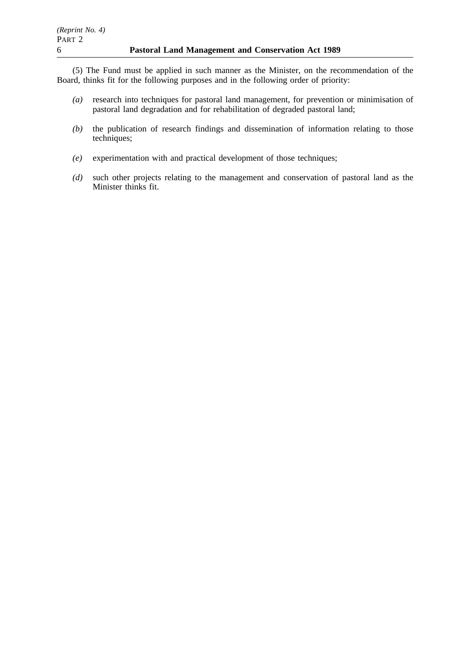(5) The Fund must be applied in such manner as the Minister, on the recommendation of the Board, thinks fit for the following purposes and in the following order of priority:

- *(a)* research into techniques for pastoral land management, for prevention or minimisation of pastoral land degradation and for rehabilitation of degraded pastoral land;
- *(b)* the publication of research findings and dissemination of information relating to those techniques;
- *(e)* experimentation with and practical development of those techniques;
- *(d)* such other projects relating to the management and conservation of pastoral land as the Minister thinks fit.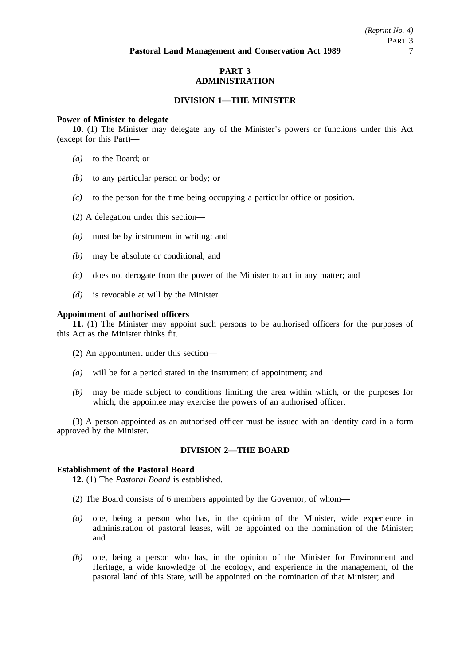## **PART 3 ADMINISTRATION**

## **DIVISION 1—THE MINISTER**

#### **Power of Minister to delegate**

**10.** (1) The Minister may delegate any of the Minister's powers or functions under this Act (except for this Part)—

- *(a)* to the Board; or
- *(b)* to any particular person or body; or
- *(c)* to the person for the time being occupying a particular office or position.
- (2) A delegation under this section—
- *(a)* must be by instrument in writing; and
- *(b)* may be absolute or conditional; and
- *(c)* does not derogate from the power of the Minister to act in any matter; and
- *(d)* is revocable at will by the Minister.

#### **Appointment of authorised officers**

**11.** (1) The Minister may appoint such persons to be authorised officers for the purposes of this Act as the Minister thinks fit.

- (2) An appointment under this section—
- *(a)* will be for a period stated in the instrument of appointment; and
- *(b)* may be made subject to conditions limiting the area within which, or the purposes for which, the appointee may exercise the powers of an authorised officer.

(3) A person appointed as an authorised officer must be issued with an identity card in a form approved by the Minister.

## **DIVISION 2—THE BOARD**

### **Establishment of the Pastoral Board**

**12.** (1) The *Pastoral Board* is established.

- (2) The Board consists of 6 members appointed by the Governor, of whom—
- *(a)* one, being a person who has, in the opinion of the Minister, wide experience in administration of pastoral leases, will be appointed on the nomination of the Minister; and
- *(b)* one, being a person who has, in the opinion of the Minister for Environment and Heritage, a wide knowledge of the ecology, and experience in the management, of the pastoral land of this State, will be appointed on the nomination of that Minister; and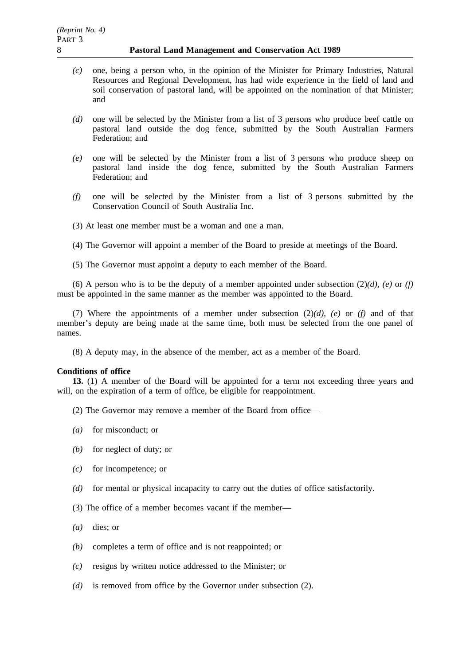- *(c)* one, being a person who, in the opinion of the Minister for Primary Industries, Natural Resources and Regional Development, has had wide experience in the field of land and soil conservation of pastoral land, will be appointed on the nomination of that Minister; and
- *(d)* one will be selected by the Minister from a list of 3 persons who produce beef cattle on pastoral land outside the dog fence, submitted by the South Australian Farmers Federation; and
- *(e)* one will be selected by the Minister from a list of 3 persons who produce sheep on pastoral land inside the dog fence, submitted by the South Australian Farmers Federation; and
- *(f)* one will be selected by the Minister from a list of 3 persons submitted by the Conservation Council of South Australia Inc.
- (3) At least one member must be a woman and one a man.
- (4) The Governor will appoint a member of the Board to preside at meetings of the Board.
- (5) The Governor must appoint a deputy to each member of the Board.

(6) A person who is to be the deputy of a member appointed under subsection  $(2)(d)$ ,  $(e)$  or  $(f)$ must be appointed in the same manner as the member was appointed to the Board.

(7) Where the appointments of a member under subsection  $(2)(d)$ ,  $(e)$  or  $(f)$  and of that member's deputy are being made at the same time, both must be selected from the one panel of names.

(8) A deputy may, in the absence of the member, act as a member of the Board.

#### **Conditions of office**

**13.** (1) A member of the Board will be appointed for a term not exceeding three years and will, on the expiration of a term of office, be eligible for reappointment.

- (2) The Governor may remove a member of the Board from office—
- *(a)* for misconduct; or
- *(b)* for neglect of duty; or
- *(c)* for incompetence; or
- *(d)* for mental or physical incapacity to carry out the duties of office satisfactorily.
- (3) The office of a member becomes vacant if the member—
- *(a)* dies; or
- *(b)* completes a term of office and is not reappointed; or
- *(c)* resigns by written notice addressed to the Minister; or
- *(d)* is removed from office by the Governor under subsection (2).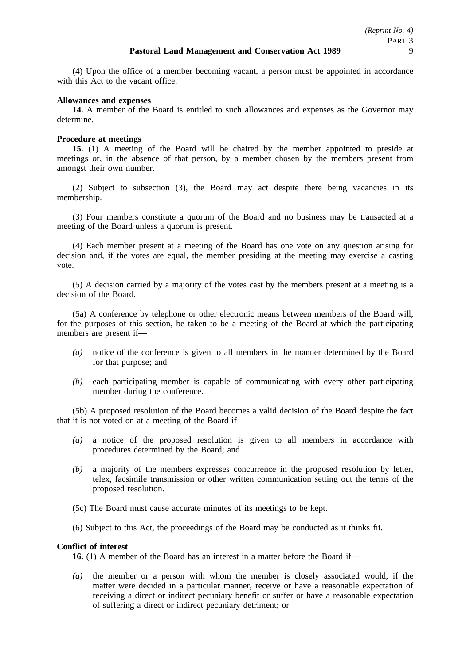(4) Upon the office of a member becoming vacant, a person must be appointed in accordance with this Act to the vacant office.

### **Allowances and expenses**

**14.** A member of the Board is entitled to such allowances and expenses as the Governor may determine.

## **Procedure at meetings**

**15.** (1) A meeting of the Board will be chaired by the member appointed to preside at meetings or, in the absence of that person, by a member chosen by the members present from amongst their own number.

(2) Subject to subsection (3), the Board may act despite there being vacancies in its membership.

(3) Four members constitute a quorum of the Board and no business may be transacted at a meeting of the Board unless a quorum is present.

(4) Each member present at a meeting of the Board has one vote on any question arising for decision and, if the votes are equal, the member presiding at the meeting may exercise a casting vote.

(5) A decision carried by a majority of the votes cast by the members present at a meeting is a decision of the Board.

(5a) A conference by telephone or other electronic means between members of the Board will, for the purposes of this section, be taken to be a meeting of the Board at which the participating members are present if—

- *(a)* notice of the conference is given to all members in the manner determined by the Board for that purpose; and
- *(b)* each participating member is capable of communicating with every other participating member during the conference.

(5b) A proposed resolution of the Board becomes a valid decision of the Board despite the fact that it is not voted on at a meeting of the Board if—

- *(a)* a notice of the proposed resolution is given to all members in accordance with procedures determined by the Board; and
- *(b)* a majority of the members expresses concurrence in the proposed resolution by letter, telex, facsimile transmission or other written communication setting out the terms of the proposed resolution.
- (5c) The Board must cause accurate minutes of its meetings to be kept.
- (6) Subject to this Act, the proceedings of the Board may be conducted as it thinks fit.

## **Conflict of interest**

**16.** (1) A member of the Board has an interest in a matter before the Board if—

*(a)* the member or a person with whom the member is closely associated would, if the matter were decided in a particular manner, receive or have a reasonable expectation of receiving a direct or indirect pecuniary benefit or suffer or have a reasonable expectation of suffering a direct or indirect pecuniary detriment; or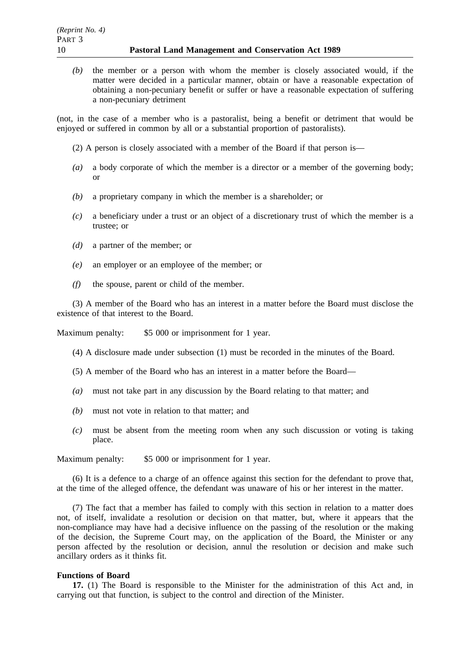*(b)* the member or a person with whom the member is closely associated would, if the matter were decided in a particular manner, obtain or have a reasonable expectation of obtaining a non-pecuniary benefit or suffer or have a reasonable expectation of suffering a non-pecuniary detriment

(not, in the case of a member who is a pastoralist, being a benefit or detriment that would be enjoyed or suffered in common by all or a substantial proportion of pastoralists).

- (2) A person is closely associated with a member of the Board if that person is—
- *(a)* a body corporate of which the member is a director or a member of the governing body; or
- *(b)* a proprietary company in which the member is a shareholder; or
- *(c)* a beneficiary under a trust or an object of a discretionary trust of which the member is a trustee; or
- *(d)* a partner of the member; or
- *(e)* an employer or an employee of the member; or
- *(f)* the spouse, parent or child of the member.

(3) A member of the Board who has an interest in a matter before the Board must disclose the existence of that interest to the Board.

Maximum penalty: \$5 000 or imprisonment for 1 year.

- (4) A disclosure made under subsection (1) must be recorded in the minutes of the Board.
- (5) A member of the Board who has an interest in a matter before the Board—
- *(a)* must not take part in any discussion by the Board relating to that matter; and
- *(b)* must not vote in relation to that matter; and
- *(c)* must be absent from the meeting room when any such discussion or voting is taking place.

Maximum penalty: \$5 000 or imprisonment for 1 year.

(6) It is a defence to a charge of an offence against this section for the defendant to prove that, at the time of the alleged offence, the defendant was unaware of his or her interest in the matter.

(7) The fact that a member has failed to comply with this section in relation to a matter does not, of itself, invalidate a resolution or decision on that matter, but, where it appears that the non-compliance may have had a decisive influence on the passing of the resolution or the making of the decision, the Supreme Court may, on the application of the Board, the Minister or any person affected by the resolution or decision, annul the resolution or decision and make such ancillary orders as it thinks fit.

#### **Functions of Board**

**17.** (1) The Board is responsible to the Minister for the administration of this Act and, in carrying out that function, is subject to the control and direction of the Minister.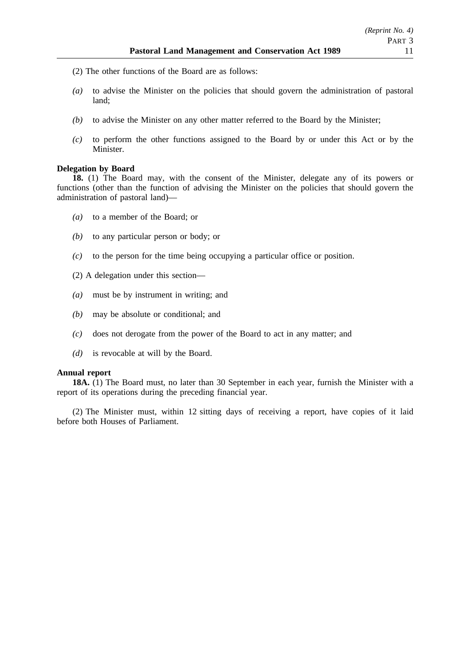- (2) The other functions of the Board are as follows:
- *(a)* to advise the Minister on the policies that should govern the administration of pastoral land;
- *(b)* to advise the Minister on any other matter referred to the Board by the Minister;
- *(c)* to perform the other functions assigned to the Board by or under this Act or by the Minister.

### **Delegation by Board**

**18.** (1) The Board may, with the consent of the Minister, delegate any of its powers or functions (other than the function of advising the Minister on the policies that should govern the administration of pastoral land)—

- *(a)* to a member of the Board; or
- *(b)* to any particular person or body; or
- *(c)* to the person for the time being occupying a particular office or position.
- (2) A delegation under this section—
- *(a)* must be by instrument in writing; and
- *(b)* may be absolute or conditional; and
- *(c)* does not derogate from the power of the Board to act in any matter; and
- *(d)* is revocable at will by the Board.

#### **Annual report**

**18A.** (1) The Board must, no later than 30 September in each year, furnish the Minister with a report of its operations during the preceding financial year.

(2) The Minister must, within 12 sitting days of receiving a report, have copies of it laid before both Houses of Parliament.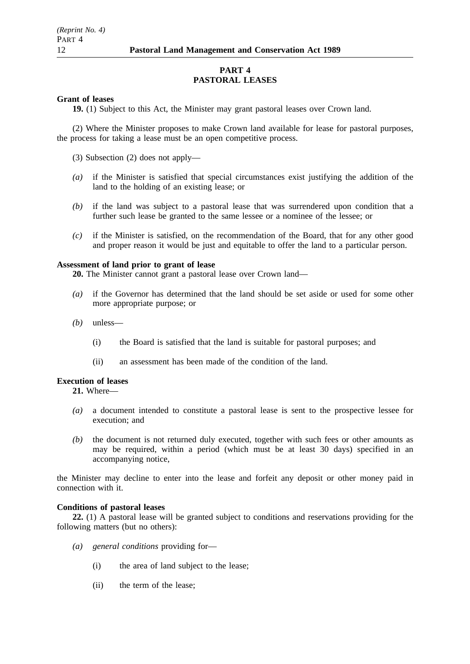## **PART 4 PASTORAL LEASES**

## **Grant of leases**

**19.** (1) Subject to this Act, the Minister may grant pastoral leases over Crown land.

(2) Where the Minister proposes to make Crown land available for lease for pastoral purposes, the process for taking a lease must be an open competitive process.

(3) Subsection (2) does not apply—

- *(a)* if the Minister is satisfied that special circumstances exist justifying the addition of the land to the holding of an existing lease; or
- *(b)* if the land was subject to a pastoral lease that was surrendered upon condition that a further such lease be granted to the same lessee or a nominee of the lessee; or
- *(c)* if the Minister is satisfied, on the recommendation of the Board, that for any other good and proper reason it would be just and equitable to offer the land to a particular person.

## **Assessment of land prior to grant of lease**

**20.** The Minister cannot grant a pastoral lease over Crown land—

- *(a)* if the Governor has determined that the land should be set aside or used for some other more appropriate purpose; or
- *(b)* unless—
	- (i) the Board is satisfied that the land is suitable for pastoral purposes; and
	- (ii) an assessment has been made of the condition of the land.

#### **Execution of leases**

**21.** Where—

- *(a)* a document intended to constitute a pastoral lease is sent to the prospective lessee for execution; and
- *(b)* the document is not returned duly executed, together with such fees or other amounts as may be required, within a period (which must be at least 30 days) specified in an accompanying notice,

the Minister may decline to enter into the lease and forfeit any deposit or other money paid in connection with it.

#### **Conditions of pastoral leases**

**22.** (1) A pastoral lease will be granted subject to conditions and reservations providing for the following matters (but no others):

- *(a) general conditions* providing for—
	- (i) the area of land subject to the lease;
	- (ii) the term of the lease;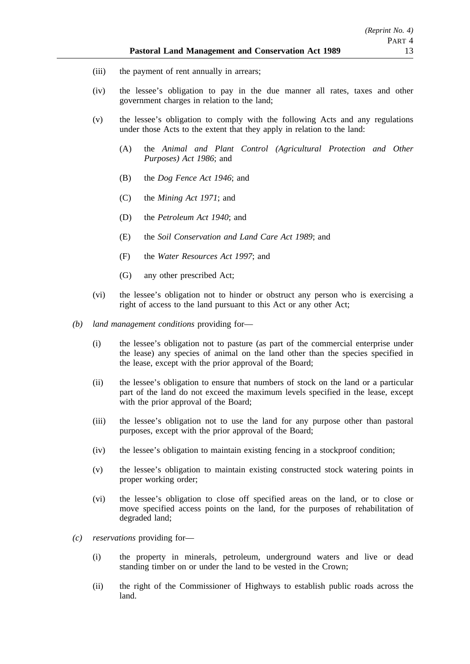- (iii) the payment of rent annually in arrears;
- (iv) the lessee's obligation to pay in the due manner all rates, taxes and other government charges in relation to the land;
- (v) the lessee's obligation to comply with the following Acts and any regulations under those Acts to the extent that they apply in relation to the land:
	- (A) the *Animal and Plant Control (Agricultural Protection and Other Purposes) Act 1986*; and
	- (B) the *Dog Fence Act 1946*; and
	- (C) the *Mining Act 1971*; and
	- (D) the *Petroleum Act 1940*; and
	- (E) the *Soil Conservation and Land Care Act 1989*; and
	- (F) the *Water Resources Act 1997*; and
	- (G) any other prescribed Act;
- (vi) the lessee's obligation not to hinder or obstruct any person who is exercising a right of access to the land pursuant to this Act or any other Act;
- *(b) land management conditions* providing for—
	- (i) the lessee's obligation not to pasture (as part of the commercial enterprise under the lease) any species of animal on the land other than the species specified in the lease, except with the prior approval of the Board;
	- (ii) the lessee's obligation to ensure that numbers of stock on the land or a particular part of the land do not exceed the maximum levels specified in the lease, except with the prior approval of the Board:
	- (iii) the lessee's obligation not to use the land for any purpose other than pastoral purposes, except with the prior approval of the Board;
	- (iv) the lessee's obligation to maintain existing fencing in a stockproof condition;
	- (v) the lessee's obligation to maintain existing constructed stock watering points in proper working order;
	- (vi) the lessee's obligation to close off specified areas on the land, or to close or move specified access points on the land, for the purposes of rehabilitation of degraded land;
- *(c) reservations* providing for—
	- (i) the property in minerals, petroleum, underground waters and live or dead standing timber on or under the land to be vested in the Crown;
	- (ii) the right of the Commissioner of Highways to establish public roads across the land.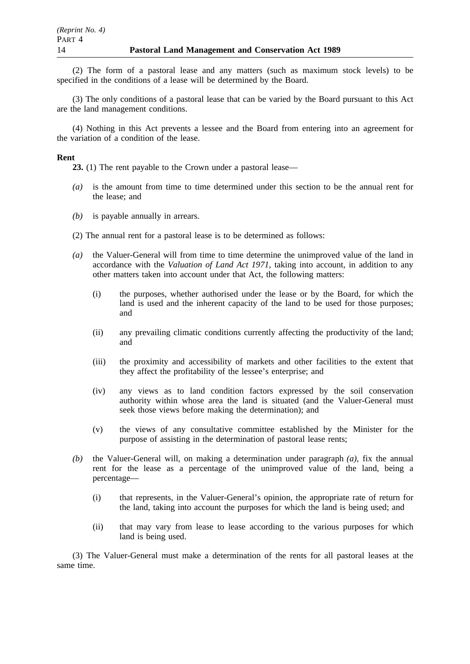(2) The form of a pastoral lease and any matters (such as maximum stock levels) to be specified in the conditions of a lease will be determined by the Board.

(3) The only conditions of a pastoral lease that can be varied by the Board pursuant to this Act are the land management conditions.

(4) Nothing in this Act prevents a lessee and the Board from entering into an agreement for the variation of a condition of the lease.

#### **Rent**

**23.** (1) The rent payable to the Crown under a pastoral lease—

- *(a)* is the amount from time to time determined under this section to be the annual rent for the lease; and
- *(b)* is payable annually in arrears.
- (2) The annual rent for a pastoral lease is to be determined as follows:
- *(a)* the Valuer-General will from time to time determine the unimproved value of the land in accordance with the *Valuation of Land Act 1971*, taking into account, in addition to any other matters taken into account under that Act, the following matters:
	- (i) the purposes, whether authorised under the lease or by the Board, for which the land is used and the inherent capacity of the land to be used for those purposes; and
	- (ii) any prevailing climatic conditions currently affecting the productivity of the land; and
	- (iii) the proximity and accessibility of markets and other facilities to the extent that they affect the profitability of the lessee's enterprise; and
	- (iv) any views as to land condition factors expressed by the soil conservation authority within whose area the land is situated (and the Valuer-General must seek those views before making the determination); and
	- (v) the views of any consultative committee established by the Minister for the purpose of assisting in the determination of pastoral lease rents;
- *(b)* the Valuer-General will, on making a determination under paragraph *(a)*, fix the annual rent for the lease as a percentage of the unimproved value of the land, being a percentage—
	- (i) that represents, in the Valuer-General's opinion, the appropriate rate of return for the land, taking into account the purposes for which the land is being used; and
	- (ii) that may vary from lease to lease according to the various purposes for which land is being used.

(3) The Valuer-General must make a determination of the rents for all pastoral leases at the same time.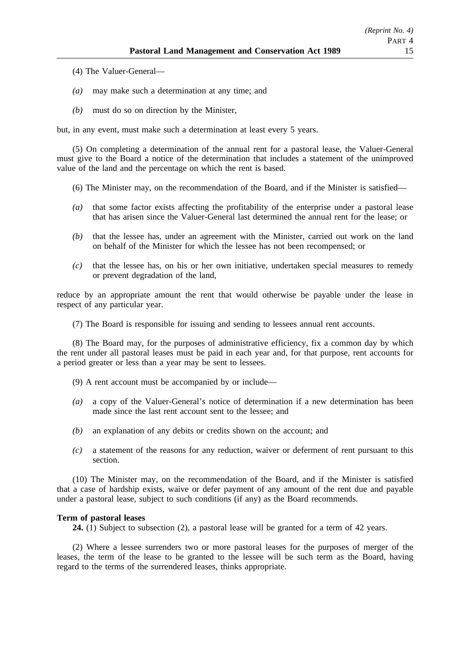- (4) The Valuer-General—
- *(a)* may make such a determination at any time; and
- *(b)* must do so on direction by the Minister,

but, in any event, must make such a determination at least every 5 years.

(5) On completing a determination of the annual rent for a pastoral lease, the Valuer-General must give to the Board a notice of the determination that includes a statement of the unimproved value of the land and the percentage on which the rent is based.

- (6) The Minister may, on the recommendation of the Board, and if the Minister is satisfied—
- *(a)* that some factor exists affecting the profitability of the enterprise under a pastoral lease that has arisen since the Valuer-General last determined the annual rent for the lease; or
- *(b)* that the lessee has, under an agreement with the Minister, carried out work on the land on behalf of the Minister for which the lessee has not been recompensed; or
- *(c)* that the lessee has, on his or her own initiative, undertaken special measures to remedy or prevent degradation of the land,

reduce by an appropriate amount the rent that would otherwise be payable under the lease in respect of any particular year.

(7) The Board is responsible for issuing and sending to lessees annual rent accounts.

(8) The Board may, for the purposes of administrative efficiency, fix a common day by which the rent under all pastoral leases must be paid in each year and, for that purpose, rent accounts for a period greater or less than a year may be sent to lessees.

- (9) A rent account must be accompanied by or include—
- *(a)* a copy of the Valuer-General's notice of determination if a new determination has been made since the last rent account sent to the lessee; and
- *(b)* an explanation of any debits or credits shown on the account; and
- *(c)* a statement of the reasons for any reduction, waiver or deferment of rent pursuant to this section.

(10) The Minister may, on the recommendation of the Board, and if the Minister is satisfied that a case of hardship exists, waive or defer payment of any amount of the rent due and payable under a pastoral lease, subject to such conditions (if any) as the Board recommends.

#### **Term of pastoral leases**

**24.** (1) Subject to subsection (2), a pastoral lease will be granted for a term of 42 years.

(2) Where a lessee surrenders two or more pastoral leases for the purposes of merger of the leases, the term of the lease to be granted to the lessee will be such term as the Board, having regard to the terms of the surrendered leases, thinks appropriate.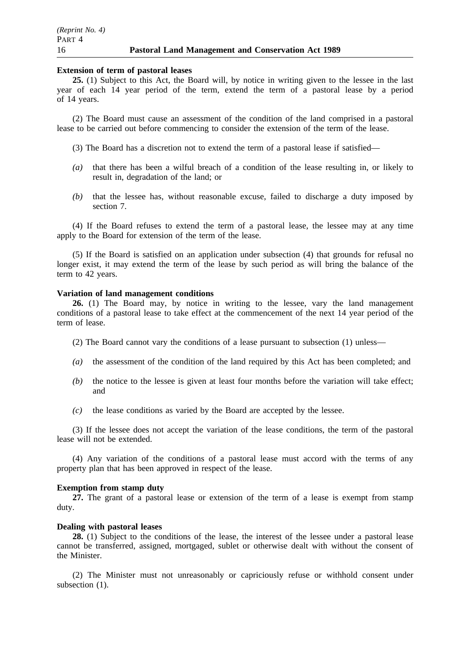#### **Extension of term of pastoral leases**

25. (1) Subject to this Act, the Board will, by notice in writing given to the lessee in the last year of each 14 year period of the term, extend the term of a pastoral lease by a period of 14 years.

(2) The Board must cause an assessment of the condition of the land comprised in a pastoral lease to be carried out before commencing to consider the extension of the term of the lease.

(3) The Board has a discretion not to extend the term of a pastoral lease if satisfied—

- *(a)* that there has been a wilful breach of a condition of the lease resulting in, or likely to result in, degradation of the land; or
- *(b)* that the lessee has, without reasonable excuse, failed to discharge a duty imposed by section 7.

(4) If the Board refuses to extend the term of a pastoral lease, the lessee may at any time apply to the Board for extension of the term of the lease.

(5) If the Board is satisfied on an application under subsection (4) that grounds for refusal no longer exist, it may extend the term of the lease by such period as will bring the balance of the term to 42 years.

#### **Variation of land management conditions**

**26.** (1) The Board may, by notice in writing to the lessee, vary the land management conditions of a pastoral lease to take effect at the commencement of the next 14 year period of the term of lease.

- (2) The Board cannot vary the conditions of a lease pursuant to subsection (1) unless—
- *(a)* the assessment of the condition of the land required by this Act has been completed; and
- *(b)* the notice to the lessee is given at least four months before the variation will take effect; and
- *(c)* the lease conditions as varied by the Board are accepted by the lessee.

(3) If the lessee does not accept the variation of the lease conditions, the term of the pastoral lease will not be extended.

(4) Any variation of the conditions of a pastoral lease must accord with the terms of any property plan that has been approved in respect of the lease.

## **Exemption from stamp duty**

**27.** The grant of a pastoral lease or extension of the term of a lease is exempt from stamp duty.

#### **Dealing with pastoral leases**

**28.** (1) Subject to the conditions of the lease, the interest of the lessee under a pastoral lease cannot be transferred, assigned, mortgaged, sublet or otherwise dealt with without the consent of the Minister.

(2) The Minister must not unreasonably or capriciously refuse or withhold consent under subsection  $(1)$ .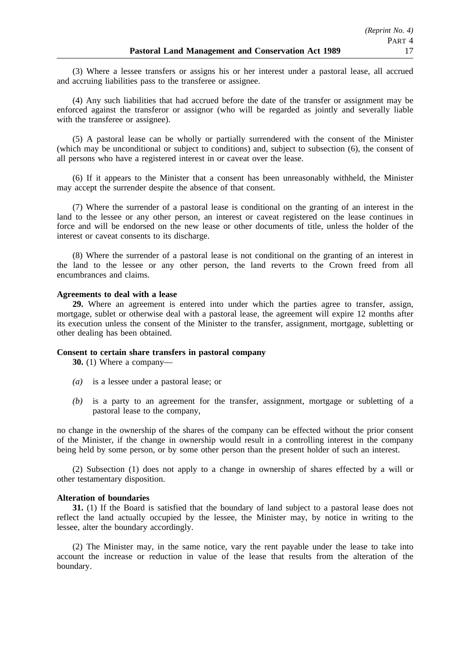(3) Where a lessee transfers or assigns his or her interest under a pastoral lease, all accrued and accruing liabilities pass to the transferee or assignee.

(4) Any such liabilities that had accrued before the date of the transfer or assignment may be enforced against the transferor or assignor (who will be regarded as jointly and severally liable with the transferee or assignee).

(5) A pastoral lease can be wholly or partially surrendered with the consent of the Minister (which may be unconditional or subject to conditions) and, subject to subsection (6), the consent of all persons who have a registered interest in or caveat over the lease.

(6) If it appears to the Minister that a consent has been unreasonably withheld, the Minister may accept the surrender despite the absence of that consent.

(7) Where the surrender of a pastoral lease is conditional on the granting of an interest in the land to the lessee or any other person, an interest or caveat registered on the lease continues in force and will be endorsed on the new lease or other documents of title, unless the holder of the interest or caveat consents to its discharge.

(8) Where the surrender of a pastoral lease is not conditional on the granting of an interest in the land to the lessee or any other person, the land reverts to the Crown freed from all encumbrances and claims.

#### **Agreements to deal with a lease**

**29.** Where an agreement is entered into under which the parties agree to transfer, assign, mortgage, sublet or otherwise deal with a pastoral lease, the agreement will expire 12 months after its execution unless the consent of the Minister to the transfer, assignment, mortgage, subletting or other dealing has been obtained.

### **Consent to certain share transfers in pastoral company**

**30.** (1) Where a company—

- *(a)* is a lessee under a pastoral lease; or
- *(b)* is a party to an agreement for the transfer, assignment, mortgage or subletting of a pastoral lease to the company,

no change in the ownership of the shares of the company can be effected without the prior consent of the Minister, if the change in ownership would result in a controlling interest in the company being held by some person, or by some other person than the present holder of such an interest.

(2) Subsection (1) does not apply to a change in ownership of shares effected by a will or other testamentary disposition.

#### **Alteration of boundaries**

**31.** (1) If the Board is satisfied that the boundary of land subject to a pastoral lease does not reflect the land actually occupied by the lessee, the Minister may, by notice in writing to the lessee, alter the boundary accordingly.

(2) The Minister may, in the same notice, vary the rent payable under the lease to take into account the increase or reduction in value of the lease that results from the alteration of the boundary.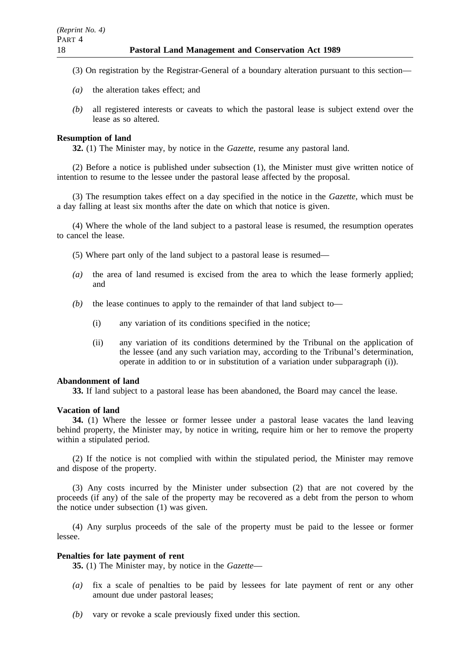(3) On registration by the Registrar-General of a boundary alteration pursuant to this section—

- *(a)* the alteration takes effect; and
- *(b)* all registered interests or caveats to which the pastoral lease is subject extend over the lease as so altered.

### **Resumption of land**

**32.** (1) The Minister may, by notice in the *Gazette*, resume any pastoral land.

(2) Before a notice is published under subsection (1), the Minister must give written notice of intention to resume to the lessee under the pastoral lease affected by the proposal.

(3) The resumption takes effect on a day specified in the notice in the *Gazette*, which must be a day falling at least six months after the date on which that notice is given.

(4) Where the whole of the land subject to a pastoral lease is resumed, the resumption operates to cancel the lease.

(5) Where part only of the land subject to a pastoral lease is resumed—

- *(a)* the area of land resumed is excised from the area to which the lease formerly applied; and
- *(b)* the lease continues to apply to the remainder of that land subject to—
	- (i) any variation of its conditions specified in the notice;
	- (ii) any variation of its conditions determined by the Tribunal on the application of the lessee (and any such variation may, according to the Tribunal's determination, operate in addition to or in substitution of a variation under subparagraph (i)).

#### **Abandonment of land**

**33.** If land subject to a pastoral lease has been abandoned, the Board may cancel the lease.

## **Vacation of land**

**34.** (1) Where the lessee or former lessee under a pastoral lease vacates the land leaving behind property, the Minister may, by notice in writing, require him or her to remove the property within a stipulated period.

(2) If the notice is not complied with within the stipulated period, the Minister may remove and dispose of the property.

(3) Any costs incurred by the Minister under subsection (2) that are not covered by the proceeds (if any) of the sale of the property may be recovered as a debt from the person to whom the notice under subsection (1) was given.

(4) Any surplus proceeds of the sale of the property must be paid to the lessee or former lessee.

### **Penalties for late payment of rent**

**35.** (1) The Minister may, by notice in the *Gazette*—

- *(a)* fix a scale of penalties to be paid by lessees for late payment of rent or any other amount due under pastoral leases;
- *(b)* vary or revoke a scale previously fixed under this section.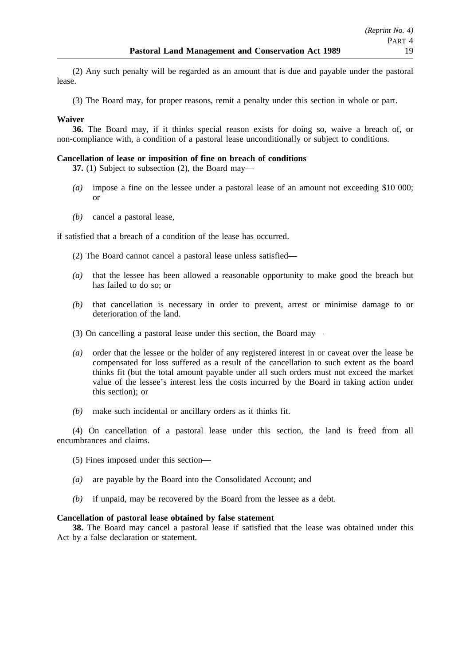(2) Any such penalty will be regarded as an amount that is due and payable under the pastoral lease.

(3) The Board may, for proper reasons, remit a penalty under this section in whole or part.

## **Waiver**

**36.** The Board may, if it thinks special reason exists for doing so, waive a breach of, or non-compliance with, a condition of a pastoral lease unconditionally or subject to conditions.

### **Cancellation of lease or imposition of fine on breach of conditions**

**37.** (1) Subject to subsection (2), the Board may—

- *(a)* impose a fine on the lessee under a pastoral lease of an amount not exceeding \$10 000; or
- *(b)* cancel a pastoral lease,

if satisfied that a breach of a condition of the lease has occurred.

(2) The Board cannot cancel a pastoral lease unless satisfied—

- *(a)* that the lessee has been allowed a reasonable opportunity to make good the breach but has failed to do so; or
- *(b)* that cancellation is necessary in order to prevent, arrest or minimise damage to or deterioration of the land.
- (3) On cancelling a pastoral lease under this section, the Board may—
- *(a)* order that the lessee or the holder of any registered interest in or caveat over the lease be compensated for loss suffered as a result of the cancellation to such extent as the board thinks fit (but the total amount payable under all such orders must not exceed the market value of the lessee's interest less the costs incurred by the Board in taking action under this section); or
- *(b)* make such incidental or ancillary orders as it thinks fit.

(4) On cancellation of a pastoral lease under this section, the land is freed from all encumbrances and claims.

- (5) Fines imposed under this section—
- *(a)* are payable by the Board into the Consolidated Account; and
- *(b)* if unpaid, may be recovered by the Board from the lessee as a debt.

#### **Cancellation of pastoral lease obtained by false statement**

**38.** The Board may cancel a pastoral lease if satisfied that the lease was obtained under this Act by a false declaration or statement.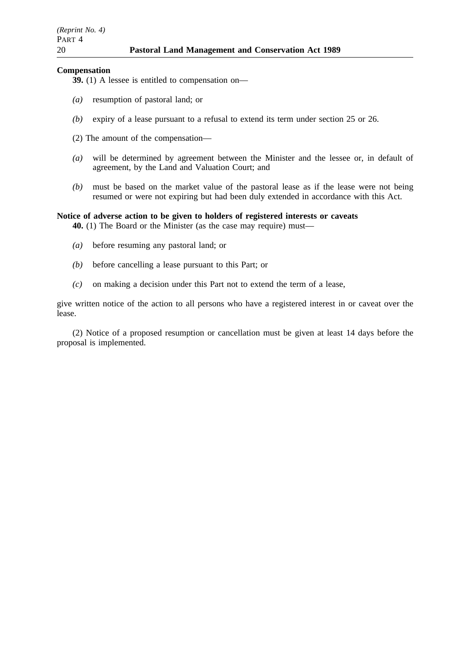#### **Compensation**

- **39.** (1) A lessee is entitled to compensation on—
- *(a)* resumption of pastoral land; or
- *(b)* expiry of a lease pursuant to a refusal to extend its term under section 25 or 26.
- (2) The amount of the compensation—
- *(a)* will be determined by agreement between the Minister and the lessee or, in default of agreement, by the Land and Valuation Court; and
- *(b)* must be based on the market value of the pastoral lease as if the lease were not being resumed or were not expiring but had been duly extended in accordance with this Act.

### **Notice of adverse action to be given to holders of registered interests or caveats**

**40.** (1) The Board or the Minister (as the case may require) must—

- *(a)* before resuming any pastoral land; or
- *(b)* before cancelling a lease pursuant to this Part; or
- *(c)* on making a decision under this Part not to extend the term of a lease,

give written notice of the action to all persons who have a registered interest in or caveat over the lease.

(2) Notice of a proposed resumption or cancellation must be given at least 14 days before the proposal is implemented.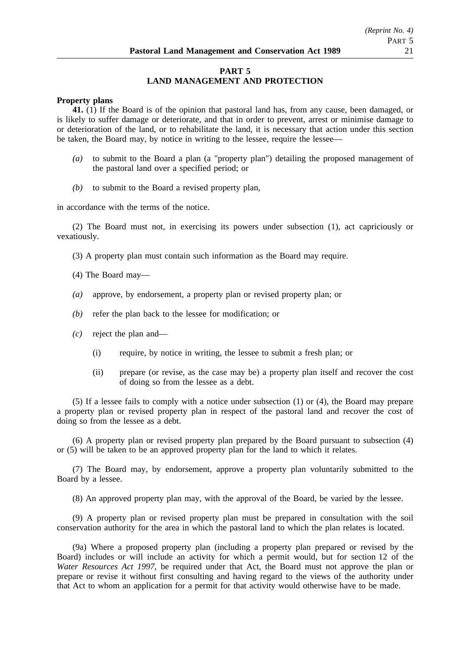## **PART 5 LAND MANAGEMENT AND PROTECTION**

#### **Property plans**

**41.** (1) If the Board is of the opinion that pastoral land has, from any cause, been damaged, or is likely to suffer damage or deteriorate, and that in order to prevent, arrest or minimise damage to or deterioration of the land, or to rehabilitate the land, it is necessary that action under this section be taken, the Board may, by notice in writing to the lessee, require the lessee—

- *(a)* to submit to the Board a plan (a "property plan") detailing the proposed management of the pastoral land over a specified period; or
- *(b)* to submit to the Board a revised property plan,

in accordance with the terms of the notice.

(2) The Board must not, in exercising its powers under subsection (1), act capriciously or vexatiously.

(3) A property plan must contain such information as the Board may require.

(4) The Board may—

- *(a)* approve, by endorsement, a property plan or revised property plan; or
- *(b)* refer the plan back to the lessee for modification; or
- *(c)* reject the plan and—
	- (i) require, by notice in writing, the lessee to submit a fresh plan; or
	- (ii) prepare (or revise, as the case may be) a property plan itself and recover the cost of doing so from the lessee as a debt.

(5) If a lessee fails to comply with a notice under subsection (1) or (4), the Board may prepare a property plan or revised property plan in respect of the pastoral land and recover the cost of doing so from the lessee as a debt.

(6) A property plan or revised property plan prepared by the Board pursuant to subsection (4) or (5) will be taken to be an approved property plan for the land to which it relates.

(7) The Board may, by endorsement, approve a property plan voluntarily submitted to the Board by a lessee.

(8) An approved property plan may, with the approval of the Board, be varied by the lessee.

(9) A property plan or revised property plan must be prepared in consultation with the soil conservation authority for the area in which the pastoral land to which the plan relates is located.

(9a) Where a proposed property plan (including a property plan prepared or revised by the Board) includes or will include an activity for which a permit would, but for section 12 of the *Water Resources Act 1997*, be required under that Act, the Board must not approve the plan or prepare or revise it without first consulting and having regard to the views of the authority under that Act to whom an application for a permit for that activity would otherwise have to be made.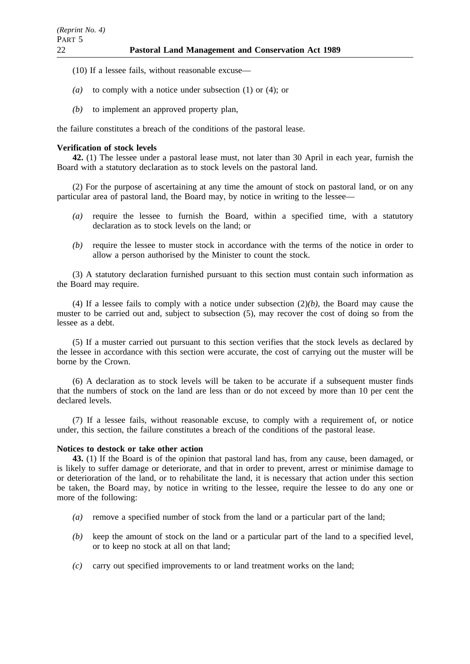- (10) If a lessee fails, without reasonable excuse—
- *(a)* to comply with a notice under subsection (1) or (4); or
- *(b)* to implement an approved property plan,

the failure constitutes a breach of the conditions of the pastoral lease.

### **Verification of stock levels**

**42.** (1) The lessee under a pastoral lease must, not later than 30 April in each year, furnish the Board with a statutory declaration as to stock levels on the pastoral land.

(2) For the purpose of ascertaining at any time the amount of stock on pastoral land, or on any particular area of pastoral land, the Board may, by notice in writing to the lessee—

- *(a)* require the lessee to furnish the Board, within a specified time, with a statutory declaration as to stock levels on the land; or
- *(b)* require the lessee to muster stock in accordance with the terms of the notice in order to allow a person authorised by the Minister to count the stock.

(3) A statutory declaration furnished pursuant to this section must contain such information as the Board may require.

(4) If a lessee fails to comply with a notice under subsection (2)*(b)*, the Board may cause the muster to be carried out and, subject to subsection (5), may recover the cost of doing so from the lessee as a debt.

(5) If a muster carried out pursuant to this section verifies that the stock levels as declared by the lessee in accordance with this section were accurate, the cost of carrying out the muster will be borne by the Crown.

(6) A declaration as to stock levels will be taken to be accurate if a subsequent muster finds that the numbers of stock on the land are less than or do not exceed by more than 10 per cent the declared levels.

(7) If a lessee fails, without reasonable excuse, to comply with a requirement of, or notice under, this section, the failure constitutes a breach of the conditions of the pastoral lease.

#### **Notices to destock or take other action**

**43.** (1) If the Board is of the opinion that pastoral land has, from any cause, been damaged, or is likely to suffer damage or deteriorate, and that in order to prevent, arrest or minimise damage to or deterioration of the land, or to rehabilitate the land, it is necessary that action under this section be taken, the Board may, by notice in writing to the lessee, require the lessee to do any one or more of the following:

- *(a)* remove a specified number of stock from the land or a particular part of the land;
- *(b)* keep the amount of stock on the land or a particular part of the land to a specified level, or to keep no stock at all on that land;
- *(c)* carry out specified improvements to or land treatment works on the land;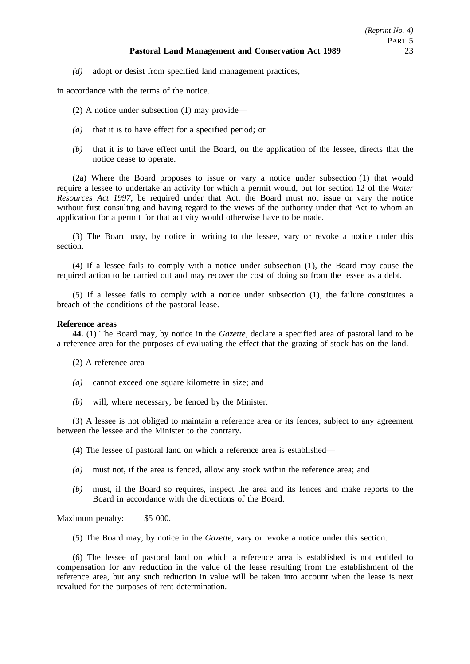*(d)* adopt or desist from specified land management practices,

in accordance with the terms of the notice.

(2) A notice under subsection (1) may provide—

- *(a)* that it is to have effect for a specified period; or
- *(b)* that it is to have effect until the Board, on the application of the lessee, directs that the notice cease to operate.

(2a) Where the Board proposes to issue or vary a notice under subsection (1) that would require a lessee to undertake an activity for which a permit would, but for section 12 of the *Water Resources Act 1997*, be required under that Act, the Board must not issue or vary the notice without first consulting and having regard to the views of the authority under that Act to whom an application for a permit for that activity would otherwise have to be made.

(3) The Board may, by notice in writing to the lessee, vary or revoke a notice under this section.

(4) If a lessee fails to comply with a notice under subsection (1), the Board may cause the required action to be carried out and may recover the cost of doing so from the lessee as a debt.

(5) If a lessee fails to comply with a notice under subsection (1), the failure constitutes a breach of the conditions of the pastoral lease.

#### **Reference areas**

**44.** (1) The Board may, by notice in the *Gazette*, declare a specified area of pastoral land to be a reference area for the purposes of evaluating the effect that the grazing of stock has on the land.

(2) A reference area—

- *(a)* cannot exceed one square kilometre in size; and
- *(b)* will, where necessary, be fenced by the Minister.

(3) A lessee is not obliged to maintain a reference area or its fences, subject to any agreement between the lessee and the Minister to the contrary.

(4) The lessee of pastoral land on which a reference area is established—

- *(a)* must not, if the area is fenced, allow any stock within the reference area; and
- *(b)* must, if the Board so requires, inspect the area and its fences and make reports to the Board in accordance with the directions of the Board.

Maximum penalty: \$5 000.

(5) The Board may, by notice in the *Gazette*, vary or revoke a notice under this section.

(6) The lessee of pastoral land on which a reference area is established is not entitled to compensation for any reduction in the value of the lease resulting from the establishment of the reference area, but any such reduction in value will be taken into account when the lease is next revalued for the purposes of rent determination.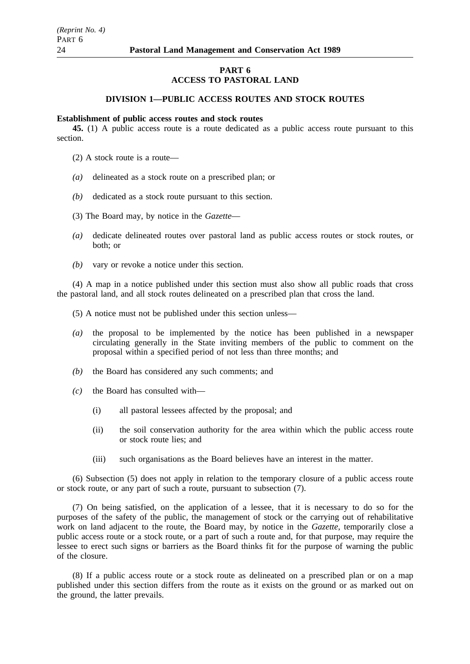## **PART 6 ACCESS TO PASTORAL LAND**

### **DIVISION 1—PUBLIC ACCESS ROUTES AND STOCK ROUTES**

#### **Establishment of public access routes and stock routes**

**45.** (1) A public access route is a route dedicated as a public access route pursuant to this section.

- (2) A stock route is a route—
- *(a)* delineated as a stock route on a prescribed plan; or
- *(b)* dedicated as a stock route pursuant to this section.
- (3) The Board may, by notice in the *Gazette*—
- *(a)* dedicate delineated routes over pastoral land as public access routes or stock routes, or both; or
- *(b)* vary or revoke a notice under this section.

(4) A map in a notice published under this section must also show all public roads that cross the pastoral land, and all stock routes delineated on a prescribed plan that cross the land.

- (5) A notice must not be published under this section unless—
- *(a)* the proposal to be implemented by the notice has been published in a newspaper circulating generally in the State inviting members of the public to comment on the proposal within a specified period of not less than three months; and
- *(b)* the Board has considered any such comments; and
- *(c)* the Board has consulted with—
	- (i) all pastoral lessees affected by the proposal; and
	- (ii) the soil conservation authority for the area within which the public access route or stock route lies; and
	- (iii) such organisations as the Board believes have an interest in the matter.

(6) Subsection (5) does not apply in relation to the temporary closure of a public access route or stock route, or any part of such a route, pursuant to subsection (7).

(7) On being satisfied, on the application of a lessee, that it is necessary to do so for the purposes of the safety of the public, the management of stock or the carrying out of rehabilitative work on land adjacent to the route, the Board may, by notice in the *Gazette*, temporarily close a public access route or a stock route, or a part of such a route and, for that purpose, may require the lessee to erect such signs or barriers as the Board thinks fit for the purpose of warning the public of the closure.

(8) If a public access route or a stock route as delineated on a prescribed plan or on a map published under this section differs from the route as it exists on the ground or as marked out on the ground, the latter prevails.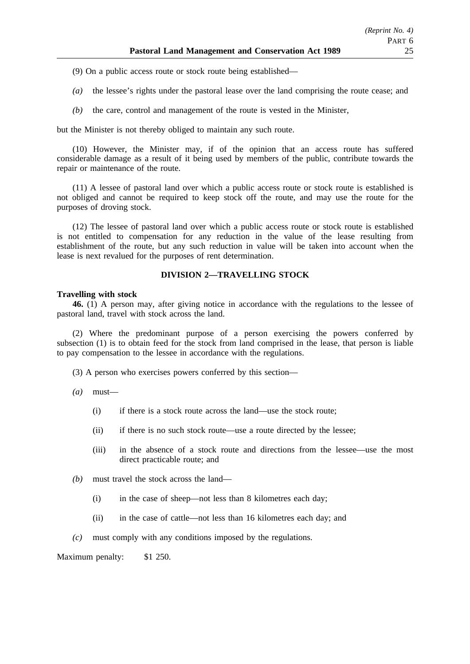- (9) On a public access route or stock route being established—
- *(a)* the lessee's rights under the pastoral lease over the land comprising the route cease; and
- *(b)* the care, control and management of the route is vested in the Minister,

but the Minister is not thereby obliged to maintain any such route.

(10) However, the Minister may, if of the opinion that an access route has suffered considerable damage as a result of it being used by members of the public, contribute towards the repair or maintenance of the route.

(11) A lessee of pastoral land over which a public access route or stock route is established is not obliged and cannot be required to keep stock off the route, and may use the route for the purposes of droving stock.

(12) The lessee of pastoral land over which a public access route or stock route is established is not entitled to compensation for any reduction in the value of the lease resulting from establishment of the route, but any such reduction in value will be taken into account when the lease is next revalued for the purposes of rent determination.

# **DIVISION 2—TRAVELLING STOCK**

#### **Travelling with stock**

**46.** (1) A person may, after giving notice in accordance with the regulations to the lessee of pastoral land, travel with stock across the land.

(2) Where the predominant purpose of a person exercising the powers conferred by subsection (1) is to obtain feed for the stock from land comprised in the lease, that person is liable to pay compensation to the lessee in accordance with the regulations.

(3) A person who exercises powers conferred by this section—

- *(a)* must—
	- (i) if there is a stock route across the land—use the stock route;
	- (ii) if there is no such stock route—use a route directed by the lessee;
	- (iii) in the absence of a stock route and directions from the lessee—use the most direct practicable route; and
- *(b)* must travel the stock across the land—
	- (i) in the case of sheep—not less than 8 kilometres each day;
	- (ii) in the case of cattle—not less than 16 kilometres each day; and
- *(c)* must comply with any conditions imposed by the regulations.

Maximum penalty: \$1 250.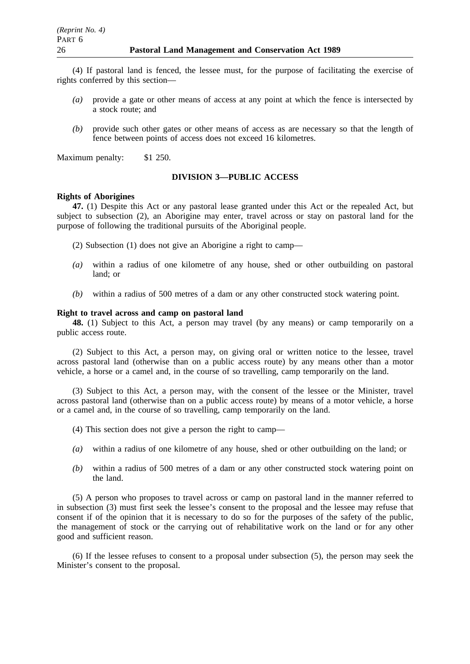(4) If pastoral land is fenced, the lessee must, for the purpose of facilitating the exercise of rights conferred by this section—

- *(a)* provide a gate or other means of access at any point at which the fence is intersected by a stock route; and
- *(b)* provide such other gates or other means of access as are necessary so that the length of fence between points of access does not exceed 16 kilometres.

Maximum penalty: \$1 250.

### **DIVISION 3—PUBLIC ACCESS**

#### **Rights of Aborigines**

**47.** (1) Despite this Act or any pastoral lease granted under this Act or the repealed Act, but subject to subsection (2), an Aborigine may enter, travel across or stay on pastoral land for the purpose of following the traditional pursuits of the Aboriginal people.

- (2) Subsection (1) does not give an Aborigine a right to camp—
- *(a)* within a radius of one kilometre of any house, shed or other outbuilding on pastoral land; or
- *(b)* within a radius of 500 metres of a dam or any other constructed stock watering point.

#### **Right to travel across and camp on pastoral land**

**48.** (1) Subject to this Act, a person may travel (by any means) or camp temporarily on a public access route.

(2) Subject to this Act, a person may, on giving oral or written notice to the lessee, travel across pastoral land (otherwise than on a public access route) by any means other than a motor vehicle, a horse or a camel and, in the course of so travelling, camp temporarily on the land.

(3) Subject to this Act, a person may, with the consent of the lessee or the Minister, travel across pastoral land (otherwise than on a public access route) by means of a motor vehicle, a horse or a camel and, in the course of so travelling, camp temporarily on the land.

- (4) This section does not give a person the right to camp—
- *(a)* within a radius of one kilometre of any house, shed or other outbuilding on the land; or
- *(b)* within a radius of 500 metres of a dam or any other constructed stock watering point on the land.

(5) A person who proposes to travel across or camp on pastoral land in the manner referred to in subsection (3) must first seek the lessee's consent to the proposal and the lessee may refuse that consent if of the opinion that it is necessary to do so for the purposes of the safety of the public, the management of stock or the carrying out of rehabilitative work on the land or for any other good and sufficient reason.

(6) If the lessee refuses to consent to a proposal under subsection (5), the person may seek the Minister's consent to the proposal.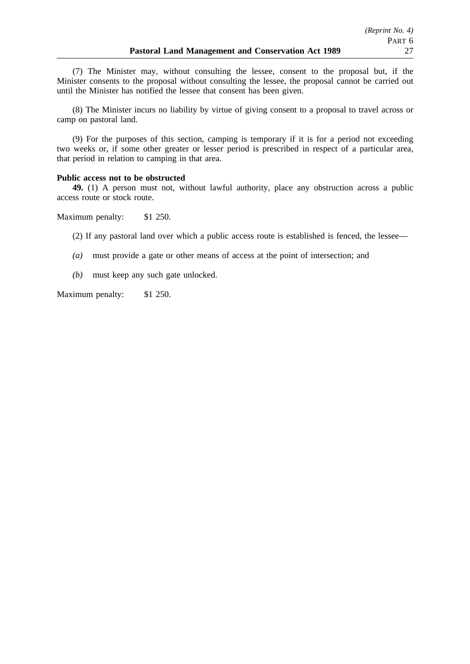(7) The Minister may, without consulting the lessee, consent to the proposal but, if the Minister consents to the proposal without consulting the lessee, the proposal cannot be carried out until the Minister has notified the lessee that consent has been given.

(8) The Minister incurs no liability by virtue of giving consent to a proposal to travel across or camp on pastoral land.

(9) For the purposes of this section, camping is temporary if it is for a period not exceeding two weeks or, if some other greater or lesser period is prescribed in respect of a particular area, that period in relation to camping in that area.

#### **Public access not to be obstructed**

**49.** (1) A person must not, without lawful authority, place any obstruction across a public access route or stock route.

Maximum penalty: \$1 250.

(2) If any pastoral land over which a public access route is established is fenced, the lessee—

- *(a)* must provide a gate or other means of access at the point of intersection; and
- *(b)* must keep any such gate unlocked.

Maximum penalty: \$1 250.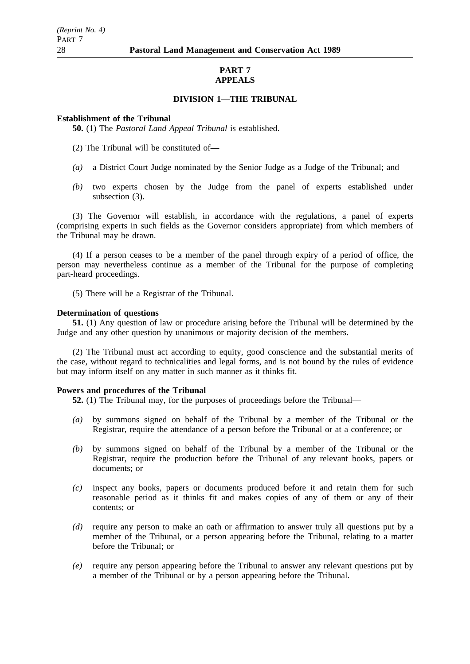## **PART 7 APPEALS**

## **DIVISION 1—THE TRIBUNAL**

### **Establishment of the Tribunal**

**50.** (1) The *Pastoral Land Appeal Tribunal* is established.

- (2) The Tribunal will be constituted of—
- *(a)* a District Court Judge nominated by the Senior Judge as a Judge of the Tribunal; and
- *(b)* two experts chosen by the Judge from the panel of experts established under subsection (3).

(3) The Governor will establish, in accordance with the regulations, a panel of experts (comprising experts in such fields as the Governor considers appropriate) from which members of the Tribunal may be drawn.

(4) If a person ceases to be a member of the panel through expiry of a period of office, the person may nevertheless continue as a member of the Tribunal for the purpose of completing part-heard proceedings.

(5) There will be a Registrar of the Tribunal.

#### **Determination of questions**

**51.** (1) Any question of law or procedure arising before the Tribunal will be determined by the Judge and any other question by unanimous or majority decision of the members.

(2) The Tribunal must act according to equity, good conscience and the substantial merits of the case, without regard to technicalities and legal forms, and is not bound by the rules of evidence but may inform itself on any matter in such manner as it thinks fit.

#### **Powers and procedures of the Tribunal**

**52.** (1) The Tribunal may, for the purposes of proceedings before the Tribunal—

- *(a)* by summons signed on behalf of the Tribunal by a member of the Tribunal or the Registrar, require the attendance of a person before the Tribunal or at a conference; or
- *(b)* by summons signed on behalf of the Tribunal by a member of the Tribunal or the Registrar, require the production before the Tribunal of any relevant books, papers or documents; or
- *(c)* inspect any books, papers or documents produced before it and retain them for such reasonable period as it thinks fit and makes copies of any of them or any of their contents; or
- *(d)* require any person to make an oath or affirmation to answer truly all questions put by a member of the Tribunal, or a person appearing before the Tribunal, relating to a matter before the Tribunal; or
- *(e)* require any person appearing before the Tribunal to answer any relevant questions put by a member of the Tribunal or by a person appearing before the Tribunal.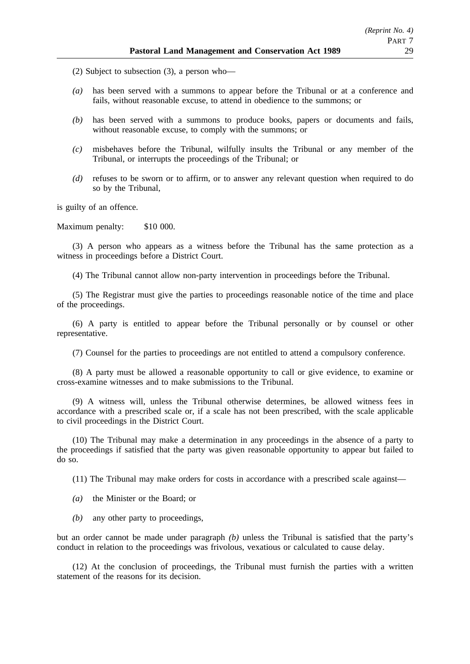(2) Subject to subsection (3), a person who—

- *(a)* has been served with a summons to appear before the Tribunal or at a conference and fails, without reasonable excuse, to attend in obedience to the summons; or
- *(b)* has been served with a summons to produce books, papers or documents and fails, without reasonable excuse, to comply with the summons; or
- *(c)* misbehaves before the Tribunal, wilfully insults the Tribunal or any member of the Tribunal, or interrupts the proceedings of the Tribunal; or
- *(d)* refuses to be sworn or to affirm, or to answer any relevant question when required to do so by the Tribunal,

is guilty of an offence.

Maximum penalty: \$10 000.

(3) A person who appears as a witness before the Tribunal has the same protection as a witness in proceedings before a District Court.

(4) The Tribunal cannot allow non-party intervention in proceedings before the Tribunal.

(5) The Registrar must give the parties to proceedings reasonable notice of the time and place of the proceedings.

(6) A party is entitled to appear before the Tribunal personally or by counsel or other representative.

(7) Counsel for the parties to proceedings are not entitled to attend a compulsory conference.

(8) A party must be allowed a reasonable opportunity to call or give evidence, to examine or cross-examine witnesses and to make submissions to the Tribunal.

(9) A witness will, unless the Tribunal otherwise determines, be allowed witness fees in accordance with a prescribed scale or, if a scale has not been prescribed, with the scale applicable to civil proceedings in the District Court.

(10) The Tribunal may make a determination in any proceedings in the absence of a party to the proceedings if satisfied that the party was given reasonable opportunity to appear but failed to do so.

(11) The Tribunal may make orders for costs in accordance with a prescribed scale against—

- *(a)* the Minister or the Board; or
- *(b)* any other party to proceedings,

but an order cannot be made under paragraph *(b)* unless the Tribunal is satisfied that the party's conduct in relation to the proceedings was frivolous, vexatious or calculated to cause delay.

(12) At the conclusion of proceedings, the Tribunal must furnish the parties with a written statement of the reasons for its decision.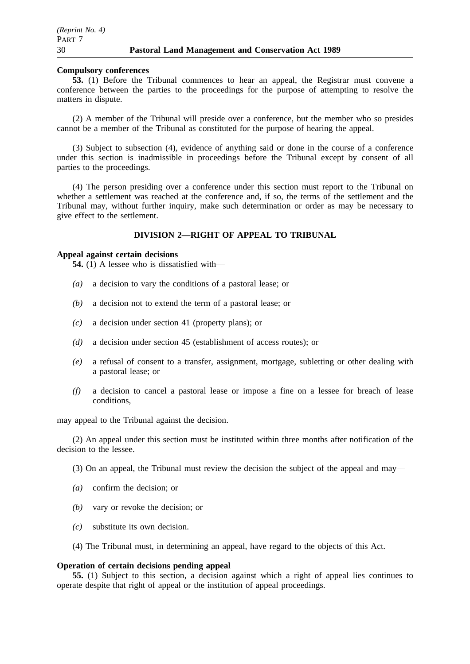#### **Compulsory conferences**

**53.** (1) Before the Tribunal commences to hear an appeal, the Registrar must convene a conference between the parties to the proceedings for the purpose of attempting to resolve the matters in dispute.

(2) A member of the Tribunal will preside over a conference, but the member who so presides cannot be a member of the Tribunal as constituted for the purpose of hearing the appeal.

(3) Subject to subsection (4), evidence of anything said or done in the course of a conference under this section is inadmissible in proceedings before the Tribunal except by consent of all parties to the proceedings.

(4) The person presiding over a conference under this section must report to the Tribunal on whether a settlement was reached at the conference and, if so, the terms of the settlement and the Tribunal may, without further inquiry, make such determination or order as may be necessary to give effect to the settlement.

## **DIVISION 2—RIGHT OF APPEAL TO TRIBUNAL**

### **Appeal against certain decisions**

**54.** (1) A lessee who is dissatisfied with—

- *(a)* a decision to vary the conditions of a pastoral lease; or
- *(b)* a decision not to extend the term of a pastoral lease; or
- *(c)* a decision under section 41 (property plans); or
- *(d)* a decision under section 45 (establishment of access routes); or
- *(e)* a refusal of consent to a transfer, assignment, mortgage, subletting or other dealing with a pastoral lease; or
- *(f)* a decision to cancel a pastoral lease or impose a fine on a lessee for breach of lease conditions,

may appeal to the Tribunal against the decision.

(2) An appeal under this section must be instituted within three months after notification of the decision to the lessee.

- (3) On an appeal, the Tribunal must review the decision the subject of the appeal and may—
- *(a)* confirm the decision; or
- *(b)* vary or revoke the decision; or
- *(c)* substitute its own decision.
- (4) The Tribunal must, in determining an appeal, have regard to the objects of this Act.

#### **Operation of certain decisions pending appeal**

**55.** (1) Subject to this section, a decision against which a right of appeal lies continues to operate despite that right of appeal or the institution of appeal proceedings.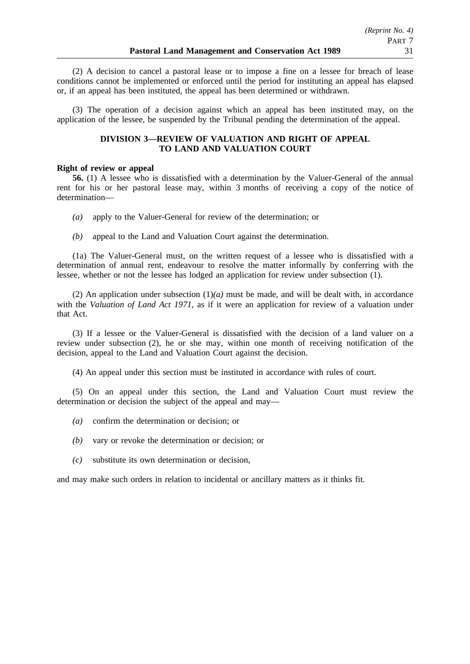(2) A decision to cancel a pastoral lease or to impose a fine on a lessee for breach of lease conditions cannot be implemented or enforced until the period for instituting an appeal has elapsed or, if an appeal has been instituted, the appeal has been determined or withdrawn.

(3) The operation of a decision against which an appeal has been instituted may, on the application of the lessee, be suspended by the Tribunal pending the determination of the appeal.

## **DIVISION 3—REVIEW OF VALUATION AND RIGHT OF APPEAL TO LAND AND VALUATION COURT**

## **Right of review or appeal**

**56.** (1) A lessee who is dissatisfied with a determination by the Valuer-General of the annual rent for his or her pastoral lease may, within 3 months of receiving a copy of the notice of determination—

- *(a)* apply to the Valuer-General for review of the determination; or
- *(b)* appeal to the Land and Valuation Court against the determination.

(1a) The Valuer-General must, on the written request of a lessee who is dissatisfied with a determination of annual rent, endeavour to resolve the matter informally by conferring with the lessee, whether or not the lessee has lodged an application for review under subsection (1).

(2) An application under subsection  $(1)(a)$  must be made, and will be dealt with, in accordance with the *Valuation of Land Act 1971*, as if it were an application for review of a valuation under that Act.

(3) If a lessee or the Valuer-General is dissatisfied with the decision of a land valuer on a review under subsection (2), he or she may, within one month of receiving notification of the decision, appeal to the Land and Valuation Court against the decision.

(4) An appeal under this section must be instituted in accordance with rules of court.

(5) On an appeal under this section, the Land and Valuation Court must review the determination or decision the subject of the appeal and may—

- *(a)* confirm the determination or decision; or
- *(b)* vary or revoke the determination or decision; or
- *(c)* substitute its own determination or decision,

and may make such orders in relation to incidental or ancillary matters as it thinks fit.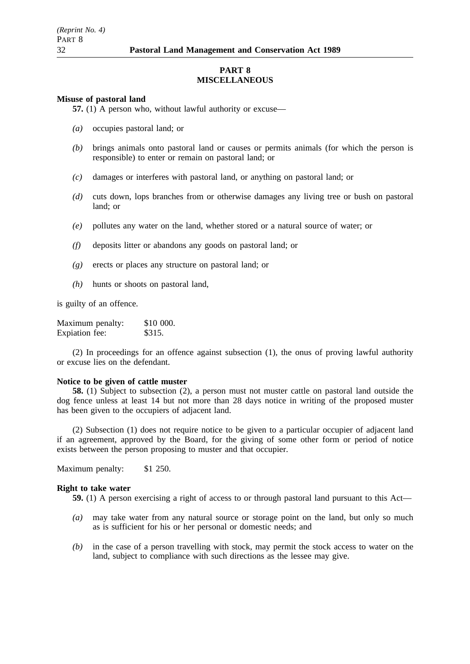## **PART 8 MISCELLANEOUS**

#### **Misuse of pastoral land**

**57.** (1) A person who, without lawful authority or excuse—

- *(a)* occupies pastoral land; or
- *(b)* brings animals onto pastoral land or causes or permits animals (for which the person is responsible) to enter or remain on pastoral land; or
- *(c)* damages or interferes with pastoral land, or anything on pastoral land; or
- *(d)* cuts down, lops branches from or otherwise damages any living tree or bush on pastoral land; or
- *(e)* pollutes any water on the land, whether stored or a natural source of water; or
- *(f)* deposits litter or abandons any goods on pastoral land; or
- *(g)* erects or places any structure on pastoral land; or
- *(h)* hunts or shoots on pastoral land,

is guilty of an offence.

| Maximum penalty: | \$10 000. |
|------------------|-----------|
| Expiation fee:   | \$315.    |

(2) In proceedings for an offence against subsection (1), the onus of proving lawful authority or excuse lies on the defendant.

#### **Notice to be given of cattle muster**

**58.** (1) Subject to subsection (2), a person must not muster cattle on pastoral land outside the dog fence unless at least 14 but not more than 28 days notice in writing of the proposed muster has been given to the occupiers of adjacent land.

(2) Subsection (1) does not require notice to be given to a particular occupier of adjacent land if an agreement, approved by the Board, for the giving of some other form or period of notice exists between the person proposing to muster and that occupier.

Maximum penalty: \$1 250.

#### **Right to take water**

**59.** (1) A person exercising a right of access to or through pastoral land pursuant to this Act—

- *(a)* may take water from any natural source or storage point on the land, but only so much as is sufficient for his or her personal or domestic needs; and
- *(b)* in the case of a person travelling with stock, may permit the stock access to water on the land, subject to compliance with such directions as the lessee may give.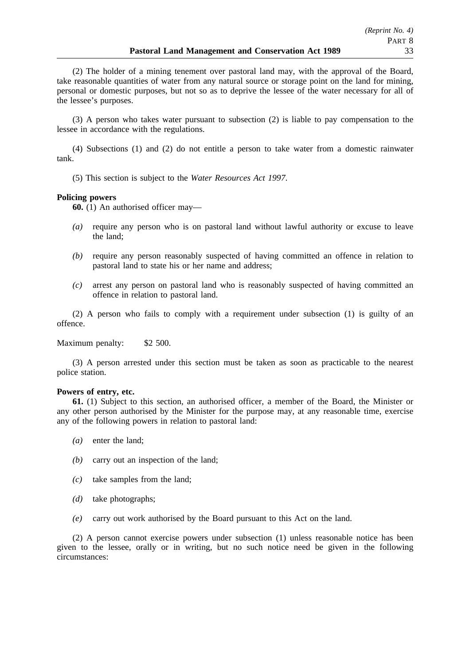(2) The holder of a mining tenement over pastoral land may, with the approval of the Board, take reasonable quantities of water from any natural source or storage point on the land for mining, personal or domestic purposes, but not so as to deprive the lessee of the water necessary for all of the lessee's purposes.

(3) A person who takes water pursuant to subsection (2) is liable to pay compensation to the lessee in accordance with the regulations.

(4) Subsections (1) and (2) do not entitle a person to take water from a domestic rainwater tank.

(5) This section is subject to the *Water Resources Act 1997*.

## **Policing powers**

**60.** (1) An authorised officer may—

- *(a)* require any person who is on pastoral land without lawful authority or excuse to leave the land;
- *(b)* require any person reasonably suspected of having committed an offence in relation to pastoral land to state his or her name and address;
- *(c)* arrest any person on pastoral land who is reasonably suspected of having committed an offence in relation to pastoral land.

(2) A person who fails to comply with a requirement under subsection (1) is guilty of an offence.

Maximum penalty: \$2 500.

(3) A person arrested under this section must be taken as soon as practicable to the nearest police station.

#### **Powers of entry, etc.**

**61.** (1) Subject to this section, an authorised officer, a member of the Board, the Minister or any other person authorised by the Minister for the purpose may, at any reasonable time, exercise any of the following powers in relation to pastoral land:

- *(a)* enter the land;
- *(b)* carry out an inspection of the land;
- *(c)* take samples from the land;
- *(d)* take photographs;
- *(e)* carry out work authorised by the Board pursuant to this Act on the land.

(2) A person cannot exercise powers under subsection (1) unless reasonable notice has been given to the lessee, orally or in writing, but no such notice need be given in the following circumstances: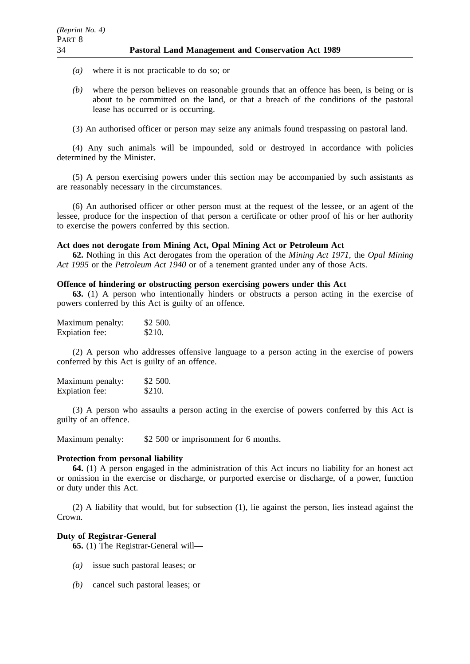- *(a)* where it is not practicable to do so; or
- *(b)* where the person believes on reasonable grounds that an offence has been, is being or is about to be committed on the land, or that a breach of the conditions of the pastoral lease has occurred or is occurring.
- (3) An authorised officer or person may seize any animals found trespassing on pastoral land.

(4) Any such animals will be impounded, sold or destroyed in accordance with policies determined by the Minister.

(5) A person exercising powers under this section may be accompanied by such assistants as are reasonably necessary in the circumstances.

(6) An authorised officer or other person must at the request of the lessee, or an agent of the lessee, produce for the inspection of that person a certificate or other proof of his or her authority to exercise the powers conferred by this section.

#### **Act does not derogate from Mining Act, Opal Mining Act or Petroleum Act**

**62.** Nothing in this Act derogates from the operation of the *Mining Act 1971*, the *Opal Mining Act 1995* or the *Petroleum Act 1940* or of a tenement granted under any of those Acts.

#### **Offence of hindering or obstructing person exercising powers under this Act**

**63.** (1) A person who intentionally hinders or obstructs a person acting in the exercise of powers conferred by this Act is guilty of an offence.

| Maximum penalty: | \$2 500. |
|------------------|----------|
| Expiation fee:   | \$210.   |

(2) A person who addresses offensive language to a person acting in the exercise of powers conferred by this Act is guilty of an offence.

Maximum penalty: \$2 500. Expiation fee: \$210.

(3) A person who assaults a person acting in the exercise of powers conferred by this Act is guilty of an offence.

Maximum penalty: \$2 500 or imprisonment for 6 months.

#### **Protection from personal liability**

**64.** (1) A person engaged in the administration of this Act incurs no liability for an honest act or omission in the exercise or discharge, or purported exercise or discharge, of a power, function or duty under this Act.

(2) A liability that would, but for subsection (1), lie against the person, lies instead against the Crown.

#### **Duty of Registrar-General**

**65.** (1) The Registrar-General will—

- *(a)* issue such pastoral leases; or
- *(b)* cancel such pastoral leases; or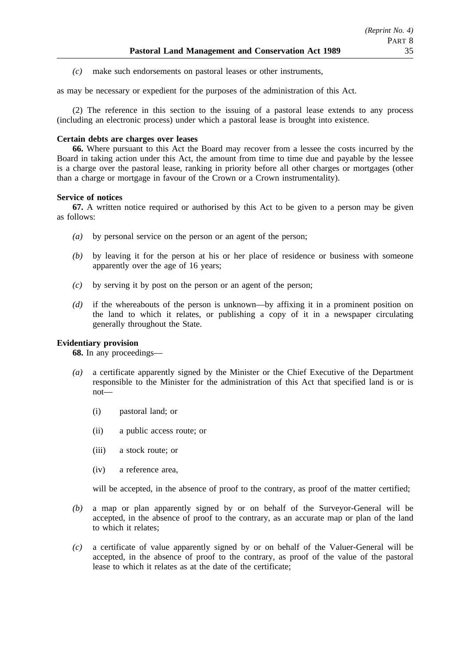*(c)* make such endorsements on pastoral leases or other instruments,

as may be necessary or expedient for the purposes of the administration of this Act.

(2) The reference in this section to the issuing of a pastoral lease extends to any process (including an electronic process) under which a pastoral lease is brought into existence.

## **Certain debts are charges over leases**

**66.** Where pursuant to this Act the Board may recover from a lessee the costs incurred by the Board in taking action under this Act, the amount from time to time due and payable by the lessee is a charge over the pastoral lease, ranking in priority before all other charges or mortgages (other than a charge or mortgage in favour of the Crown or a Crown instrumentality).

## **Service of notices**

**67.** A written notice required or authorised by this Act to be given to a person may be given as follows:

- *(a)* by personal service on the person or an agent of the person;
- *(b)* by leaving it for the person at his or her place of residence or business with someone apparently over the age of 16 years;
- *(c)* by serving it by post on the person or an agent of the person;
- *(d)* if the whereabouts of the person is unknown—by affixing it in a prominent position on the land to which it relates, or publishing a copy of it in a newspaper circulating generally throughout the State.

## **Evidentiary provision**

**68.** In any proceedings—

- *(a)* a certificate apparently signed by the Minister or the Chief Executive of the Department responsible to the Minister for the administration of this Act that specified land is or is not—
	- (i) pastoral land; or
	- (ii) a public access route; or
	- (iii) a stock route; or
	- (iv) a reference area,

will be accepted, in the absence of proof to the contrary, as proof of the matter certified;

- *(b)* a map or plan apparently signed by or on behalf of the Surveyor-General will be accepted, in the absence of proof to the contrary, as an accurate map or plan of the land to which it relates;
- *(c)* a certificate of value apparently signed by or on behalf of the Valuer-General will be accepted, in the absence of proof to the contrary, as proof of the value of the pastoral lease to which it relates as at the date of the certificate;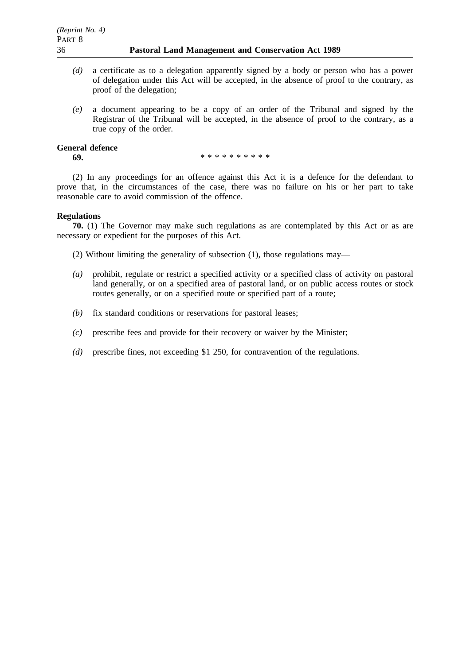- *(d)* a certificate as to a delegation apparently signed by a body or person who has a power of delegation under this Act will be accepted, in the absence of proof to the contrary, as proof of the delegation;
- *(e)* a document appearing to be a copy of an order of the Tribunal and signed by the Registrar of the Tribunal will be accepted, in the absence of proof to the contrary, as a true copy of the order.

### **General defence**

**69.** \*\*\*\*\*\*\*\*\*\*\*

(2) In any proceedings for an offence against this Act it is a defence for the defendant to prove that, in the circumstances of the case, there was no failure on his or her part to take reasonable care to avoid commission of the offence.

## **Regulations**

**70.** (1) The Governor may make such regulations as are contemplated by this Act or as are necessary or expedient for the purposes of this Act.

(2) Without limiting the generality of subsection (1), those regulations may—

- *(a)* prohibit, regulate or restrict a specified activity or a specified class of activity on pastoral land generally, or on a specified area of pastoral land, or on public access routes or stock routes generally, or on a specified route or specified part of a route;
- *(b)* fix standard conditions or reservations for pastoral leases;
- *(c)* prescribe fees and provide for their recovery or waiver by the Minister;
- *(d)* prescribe fines, not exceeding \$1 250, for contravention of the regulations.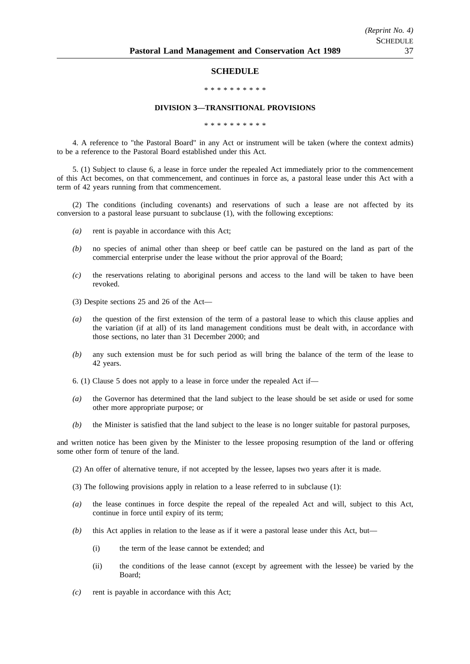#### **SCHEDULE**

#### \*\*\*\*\*\*\*\*\*\*

#### **DIVISION 3—TRANSITIONAL PROVISIONS**

\*\*\*\*\*\*\*\*\*\*

4. A reference to "the Pastoral Board" in any Act or instrument will be taken (where the context admits) to be a reference to the Pastoral Board established under this Act.

5. (1) Subject to clause 6, a lease in force under the repealed Act immediately prior to the commencement of this Act becomes, on that commencement, and continues in force as, a pastoral lease under this Act with a term of 42 years running from that commencement.

(2) The conditions (including covenants) and reservations of such a lease are not affected by its conversion to a pastoral lease pursuant to subclause (1), with the following exceptions:

- *(a)* rent is payable in accordance with this Act;
- *(b)* no species of animal other than sheep or beef cattle can be pastured on the land as part of the commercial enterprise under the lease without the prior approval of the Board;
- *(c)* the reservations relating to aboriginal persons and access to the land will be taken to have been revoked.
- (3) Despite sections 25 and 26 of the Act—
- *(a)* the question of the first extension of the term of a pastoral lease to which this clause applies and the variation (if at all) of its land management conditions must be dealt with, in accordance with those sections, no later than 31 December 2000; and
- *(b)* any such extension must be for such period as will bring the balance of the term of the lease to 42 years.
- 6. (1) Clause 5 does not apply to a lease in force under the repealed Act if—
- *(a)* the Governor has determined that the land subject to the lease should be set aside or used for some other more appropriate purpose; or
- *(b)* the Minister is satisfied that the land subject to the lease is no longer suitable for pastoral purposes,

and written notice has been given by the Minister to the lessee proposing resumption of the land or offering some other form of tenure of the land.

- (2) An offer of alternative tenure, if not accepted by the lessee, lapses two years after it is made.
- (3) The following provisions apply in relation to a lease referred to in subclause (1):
- *(a)* the lease continues in force despite the repeal of the repealed Act and will, subject to this Act, continue in force until expiry of its term;
- *(b)* this Act applies in relation to the lease as if it were a pastoral lease under this Act, but—
	- (i) the term of the lease cannot be extended; and
	- (ii) the conditions of the lease cannot (except by agreement with the lessee) be varied by the Board;
- *(c)* rent is payable in accordance with this Act;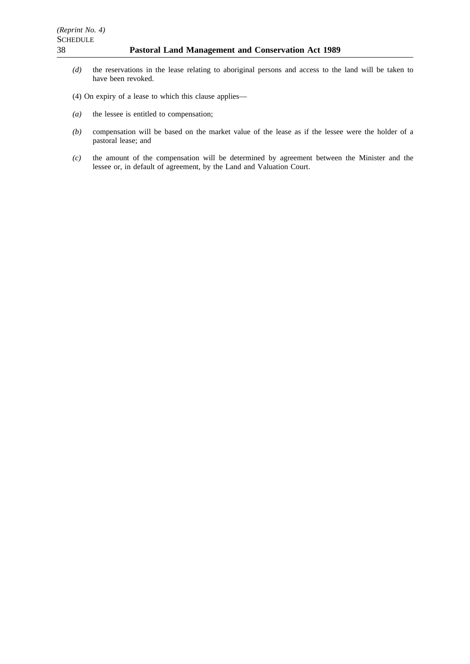- *(d)* the reservations in the lease relating to aboriginal persons and access to the land will be taken to have been revoked.
- (4) On expiry of a lease to which this clause applies—
- *(a)* the lessee is entitled to compensation;
- *(b)* compensation will be based on the market value of the lease as if the lessee were the holder of a pastoral lease; and
- *(c)* the amount of the compensation will be determined by agreement between the Minister and the lessee or, in default of agreement, by the Land and Valuation Court.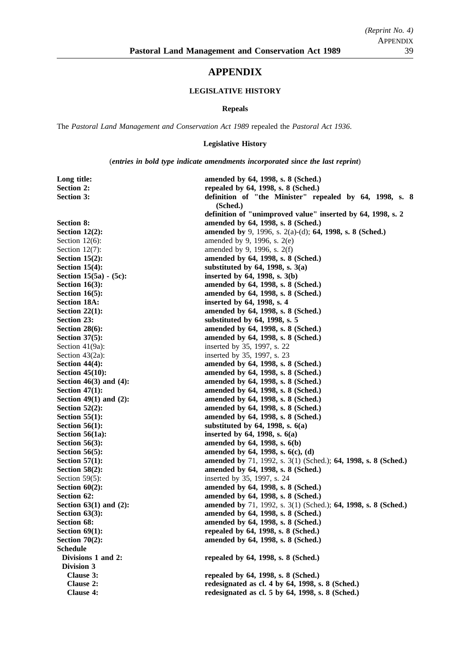# **APPENDIX**

## **LEGISLATIVE HISTORY**

#### **Repeals**

The *Pastoral Land Management and Conservation Act 1989* repealed the *Pastoral Act 1936*.

## **Legislative History**

(*entries in bold type indicate amendments incorporated since the last reprint*)

| Long title:                 | amended by 64, 1998, s. 8 (Sched.)                                  |  |
|-----------------------------|---------------------------------------------------------------------|--|
| <b>Section 2:</b>           | repealed by 64, 1998, s. 8 (Sched.)                                 |  |
| <b>Section 3:</b>           | definition of "the Minister" repealed by 64, 1998, s. 8<br>(Sched.) |  |
|                             | definition of "unimproved value" inserted by 64, 1998, s. 2         |  |
| <b>Section 8:</b>           | amended by 64, 1998, s. 8 (Sched.)                                  |  |
| Section $12(2)$ :           | amended by 9, 1996, s. 2(a)-(d); 64, 1998, s. 8 (Sched.)            |  |
| Section $12(6)$ :           | amended by 9, 1996, s. $2(e)$                                       |  |
| Section $12(7)$ :           | amended by 9, 1996, s. 2(f)                                         |  |
| Section $15(2)$ :           | amended by 64, 1998, s. 8 (Sched.)                                  |  |
| Section $15(4)$ :           | substituted by $64$ , 1998, s. $3(a)$                               |  |
| Section 15(5a) - (5c):      | inserted by 64, 1998, s. 3(b)                                       |  |
| Section $16(3)$ :           | amended by 64, 1998, s. 8 (Sched.)                                  |  |
| Section $16(5)$ :           | amended by 64, 1998, s. 8 (Sched.)                                  |  |
| <b>Section 18A:</b>         | inserted by 64, 1998, s. 4                                          |  |
| Section $22(1)$ :           | amended by 64, 1998, s. 8 (Sched.)                                  |  |
| Section 23:                 | substituted by 64, 1998, s. 5                                       |  |
| Section $28(6)$ :           | amended by 64, 1998, s. 8 (Sched.)                                  |  |
| Section $37(5)$ :           | amended by 64, 1998, s. 8 (Sched.)                                  |  |
| Section 41(9a):             | inserted by 35, 1997, s. 22                                         |  |
| Section $43(2a)$ :          | inserted by 35, 1997, s. 23                                         |  |
| Section $44(4)$ :           | amended by 64, 1998, s. 8 (Sched.)                                  |  |
| Section $45(10)$ :          | amended by 64, 1998, s. 8 (Sched.)                                  |  |
| Section $46(3)$ and $(4)$ : | amended by 64, 1998, s. 8 (Sched.)                                  |  |
| Section $47(1)$ :           | amended by 64, 1998, s. 8 (Sched.)                                  |  |
| Section $49(1)$ and $(2)$ : | amended by 64, 1998, s. 8 (Sched.)                                  |  |
| Section $52(2)$ :           | amended by 64, 1998, s. 8 (Sched.)                                  |  |
| Section $55(1)$ :           | amended by 64, 1998, s. 8 (Sched.)                                  |  |
| Section $56(1)$ :           | substituted by $64$ , 1998, s. $6(a)$                               |  |
| Section $56(1a)$ :          | inserted by $64$ , 1998, s. $6(a)$                                  |  |
| Section $56(3)$ :           | amended by 64, 1998, s. 6(b)                                        |  |
| Section $56(5)$ :           | amended by 64, 1998, s. 6(c), (d)                                   |  |
| Section $57(1)$ :           | amended by 71, 1992, s. 3(1) (Sched.); 64, 1998, s. 8 (Sched.)      |  |
| Section $58(2)$ :           | amended by 64, 1998, s. 8 (Sched.)                                  |  |
| Section $59(5)$ :           | inserted by 35, 1997, s. 24                                         |  |
| Section $60(2)$ :           | amended by 64, 1998, s. 8 (Sched.)                                  |  |
| Section 62:                 | amended by 64, 1998, s. 8 (Sched.)                                  |  |
| Section $63(1)$ and $(2)$ : | amended by 71, 1992, s. 3(1) (Sched.); 64, 1998, s. 8 (Sched.)      |  |
| Section $63(3)$ :           | amended by 64, 1998, s. 8 (Sched.)                                  |  |
| Section 68:                 | amended by 64, 1998, s. 8 (Sched.)                                  |  |
| Section $69(1)$ :           | repealed by 64, 1998, s. 8 (Sched.)                                 |  |
| Section $70(2)$ :           | amended by 64, 1998, s. 8 (Sched.)                                  |  |
| <b>Schedule</b>             |                                                                     |  |
| Divisions 1 and 2:          | repealed by 64, 1998, s. 8 (Sched.)                                 |  |
| Division 3                  |                                                                     |  |
| Clause 3:                   | repealed by 64, 1998, s. 8 (Sched.)                                 |  |
| Clause 2:                   | redesignated as cl. 4 by 64, 1998, s. 8 (Sched.)                    |  |
| Clause 4:                   | redesignated as cl. 5 by 64, 1998, s. 8 (Sched.)                    |  |